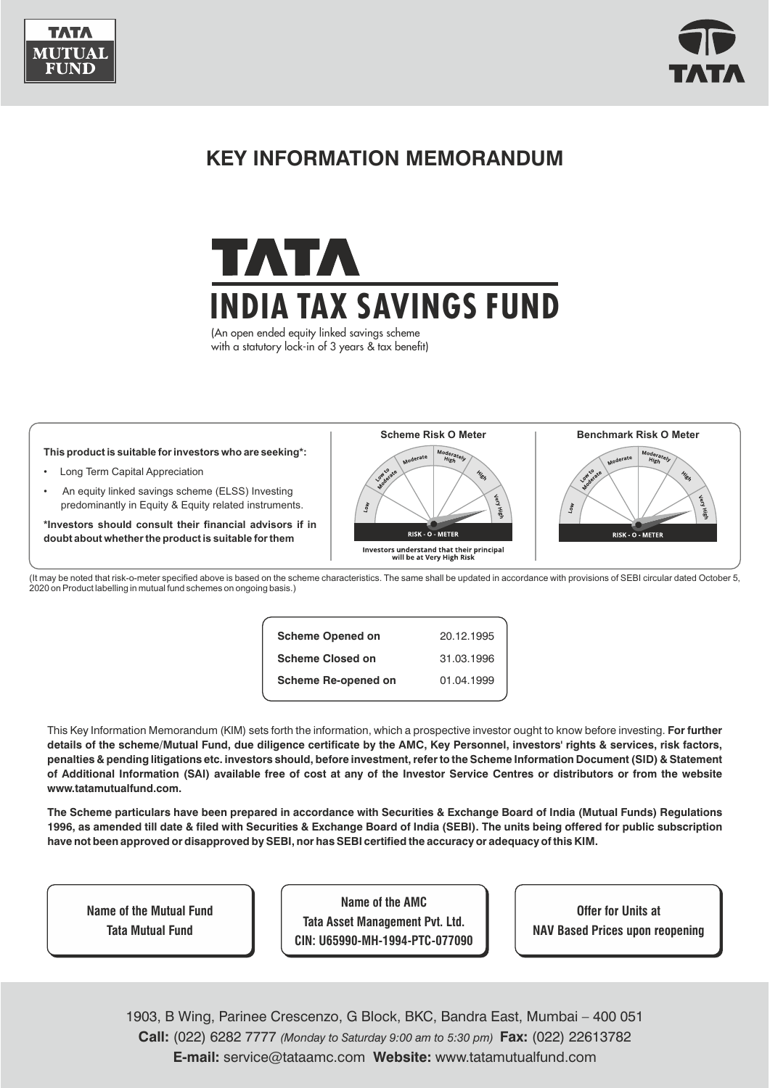



# **KEY INFORMATION MEMORANDUM**



(An open ended equity linked savings scheme with a statutory lock-in of 3 years & tax benefit)



(It may be noted that risk-o-meter specified above is based on the scheme characteristics. The same shall be updated in accordance with provisions of SEBI circular dated October 5, 2020 on Product labelling in mutual fund schemes on ongoing basis.)

| <b>Scheme Opened on</b>    | 20.12.1995 |
|----------------------------|------------|
| <b>Scheme Closed on</b>    | 31.03.1996 |
| <b>Scheme Re-opened on</b> | 01.04.1999 |

This Key Information Memorandum (KIM) sets forth the information, which a prospective investor ought to know before investing. **For further details of the scheme/Mutual Fund, due diligence certificate by the AMC, Key Personnel, investors' rights & services, risk factors, penalties & pending litigations etc. investors should, before investment, refer to the Scheme Information Document (SID) & Statement of Additional Information (SAI) available free of cost at any of the Investor Service Centres or distributors or from the website www.tatamutualfund.com.** 

**The Scheme particulars have been prepared in accordance with Securities & Exchange Board of India (Mutual Funds) Regulations 1996, as amended till date & filed with Securities & Exchange Board of India (SEBI). The units being offered for public subscription have not been approved or disapproved by SEBI, nor has SEBI certified the accuracy or adequacy of this KIM.**

**Name of the Mutual Fund Tata Mutual Fund**

**Name of the AMC Tata Asset Management Pvt. Ltd. CIN: U65990-MH-1994-PTC-077090**

**Offer for Units at NAV Based Prices upon reopening**

1 **E-mail:** service@tataamc.com **Website:** www.tatamutualfund.com **Call:** (022) 6282 7777 *(Monday to Saturday 9:00 am to 5:30 pm)* **Fax:** (022) 22613782 1903, B Wing, Parinee Crescenzo, G Block, BKC, Bandra East, Mumbai – 400 051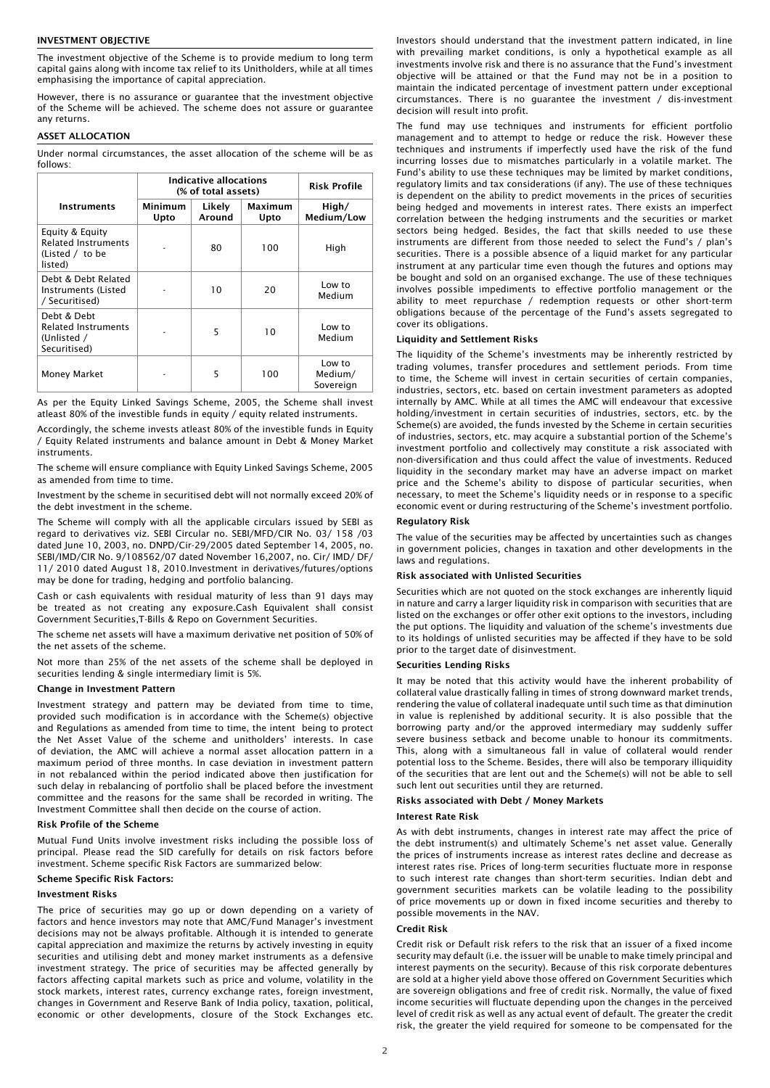#### INVESTMENT OBJECTIVE

The investment objective of the Scheme is to provide medium to long term capital gains along with income tax relief to its Unitholders, while at all times emphasising the importance of capital appreciation.

However, there is no assurance or guarantee that the investment objective of the Scheme will be achieved. The scheme does not assure or guarantee any returns.

## ASSET ALLOCATION

Under normal circumstances, the asset allocation of the scheme will be as follows:

|                                                                             | <b>Indicative allocations</b><br>(% of total assets) |                  |                 | Risk Profile                   |
|-----------------------------------------------------------------------------|------------------------------------------------------|------------------|-----------------|--------------------------------|
| <b>Instruments</b>                                                          | Minimum<br>Upto                                      | Likely<br>Around | Maximum<br>Upto | High/<br>Medium/Low            |
| Equity & Equity<br><b>Related Instruments</b><br>(Listed / to be<br>listed) |                                                      | 80               | 100             | High                           |
| Debt & Debt Related<br>Instruments (Listed<br>/ Securitised)                |                                                      | 10               | 20              | Low to<br>Medium               |
| Debt & Debt<br><b>Related Instruments</b><br>(Unlisted /<br>Securitised)    |                                                      | 5                | 10              | Low to<br>Medium               |
| <b>Money Market</b>                                                         |                                                      | 5                | 100             | Low to<br>Medium/<br>Sovereign |

As per the Equity Linked Savings Scheme, 2005, the Scheme shall invest atleast 80% of the investible funds in equity / equity related instruments.

Accordingly, the scheme invests atleast 80% of the investible funds in Equity / Equity Related instruments and balance amount in Debt & Money Market instruments.

The scheme will ensure compliance with Equity Linked Savings Scheme, 2005 as amended from time to time.

Investment by the scheme in securitised debt will not normally exceed 20% of the debt investment in the scheme.

The Scheme will comply with all the applicable circulars issued by SEBI as regard to derivatives viz. SEBI Circular no. SEBI/MFD/CIR No. 03/ 158 /03 dated June 10, 2003, no. DNPD/Cir-29/2005 dated September 14, 2005, no. SEBI/IMD/CIR No. 9/108562/07 dated November 16,2007, no. Cir/ IMD/ DF/ 11/ 2010 dated August 18, 2010.Investment in derivatives/futures/options may be done for trading, hedging and portfolio balancing.

Cash or cash equivalents with residual maturity of less than 91 days may be treated as not creating any exposure.Cash Equivalent shall consist Government Securities,T-Bills & Repo on Government Securities.

The scheme net assets will have a maximum derivative net position of 50% of the net assets of the scheme.

Not more than 25% of the net assets of the scheme shall be deployed in securities lending & single intermediary limit is 5%.

#### Change in Investment Pattern

Investment strategy and pattern may be deviated from time to time, provided such modification is in accordance with the Scheme(s) objective and Regulations as amended from time to time, the intent being to protect the Net Asset Value of the scheme and unitholders' interests. In case of deviation, the AMC will achieve a normal asset allocation pattern in a maximum period of three months. In case deviation in investment pattern in not rebalanced within the period indicated above then justification for such delay in rebalancing of portfolio shall be placed before the investment committee and the reasons for the same shall be recorded in writing. The Investment Committee shall then decide on the course of action.

#### Risk Profile of the Scheme

Mutual Fund Units involve investment risks including the possible loss of principal. Please read the SID carefully for details on risk factors before investment. Scheme specific Risk Factors are summarized below:

#### Scheme Specific Risk Factors:

## Investment Risks

The price of securities may go up or down depending on a variety of factors and hence investors may note that AMC/Fund Manager's investment decisions may not be always profitable. Although it is intended to generate capital appreciation and maximize the returns by actively investing in equity securities and utilising debt and money market instruments as a defensive investment strategy. The price of securities may be affected generally by factors affecting capital markets such as price and volume, volatility in the stock markets, interest rates, currency exchange rates, foreign investment, changes in Government and Reserve Bank of India policy, taxation, political, economic or other developments, closure of the Stock Exchanges etc.

Investors should understand that the investment pattern indicated, in line with prevailing market conditions, is only a hypothetical example as all investments involve risk and there is no assurance that the Fund's investment objective will be attained or that the Fund may not be in a position to maintain the indicated percentage of investment pattern under exceptional circumstances. There is no guarantee the investment / dis-investment decision will result into profit.

The fund may use techniques and instruments for efficient portfolio management and to attempt to hedge or reduce the risk. However these techniques and instruments if imperfectly used have the risk of the fund incurring losses due to mismatches particularly in a volatile market. The Fund's ability to use these techniques may be limited by market conditions, regulatory limits and tax considerations (if any). The use of these techniques is dependent on the ability to predict movements in the prices of securities being hedged and movements in interest rates. There exists an imperfect correlation between the hedging instruments and the securities or market sectors being hedged. Besides, the fact that skills needed to use these instruments are different from those needed to select the Fund's / plan's securities. There is a possible absence of a liquid market for any particular instrument at any particular time even though the futures and options may be bought and sold on an organised exchange. The use of these techniques involves possible impediments to effective portfolio management or the ability to meet repurchase / redemption requests or other short-term obligations because of the percentage of the Fund's assets segregated to cover its obligations.

#### Liquidity and Settlement Risks

The liquidity of the Scheme's investments may be inherently restricted by trading volumes, transfer procedures and settlement periods. From time to time, the Scheme will invest in certain securities of certain companies, industries, sectors, etc. based on certain investment parameters as adopted internally by AMC. While at all times the AMC will endeavour that excessive holding/investment in certain securities of industries, sectors, etc. by the Scheme(s) are avoided, the funds invested by the Scheme in certain securities of industries, sectors, etc. may acquire a substantial portion of the Scheme's investment portfolio and collectively may constitute a risk associated with non-diversification and thus could affect the value of investments. Reduced liquidity in the secondary market may have an adverse impact on market price and the Scheme's ability to dispose of particular securities, when necessary, to meet the Scheme's liquidity needs or in response to a specific economic event or during restructuring of the Scheme's investment portfolio.

## Regulatory Risk

The value of the securities may be affected by uncertainties such as changes in government policies, changes in taxation and other developments in the laws and regulations.

## Risk associated with Unlisted Securities

Securities which are not quoted on the stock exchanges are inherently liquid in nature and carry a larger liquidity risk in comparison with securities that are listed on the exchanges or offer other exit options to the investors, including the put options. The liquidity and valuation of the scheme's investments due to its holdings of unlisted securities may be affected if they have to be sold prior to the target date of disinvestment.

#### Securities Lending Risks

It may be noted that this activity would have the inherent probability of collateral value drastically falling in times of strong downward market trends, rendering the value of collateral inadequate until such time as that diminution in value is replenished by additional security. It is also possible that the borrowing party and/or the approved intermediary may suddenly suffer severe business setback and become unable to honour its commitments. This, along with a simultaneous fall in value of collateral would render potential loss to the Scheme. Besides, there will also be temporary illiquidity of the securities that are lent out and the Scheme(s) will not be able to sell such lent out securities until they are returned.

## Risks associated with Debt / Money Markets

#### Interest Rate Risk

As with debt instruments, changes in interest rate may affect the price of the debt instrument(s) and ultimately Scheme's net asset value. Generally the prices of instruments increase as interest rates decline and decrease as interest rates rise. Prices of long-term securities fluctuate more in response to such interest rate changes than short-term securities. Indian debt and government securities markets can be volatile leading to the possibility of price movements up or down in fixed income securities and thereby to possible movements in the NAV.

## Credit Risk

Credit risk or Default risk refers to the risk that an issuer of a fixed income security may default (i.e. the issuer will be unable to make timely principal and interest payments on the security). Because of this risk corporate debentures are sold at a higher yield above those offered on Government Securities which are sovereign obligations and free of credit risk. Normally, the value of fixed income securities will fluctuate depending upon the changes in the perceived level of credit risk as well as any actual event of default. The greater the credit risk, the greater the yield required for someone to be compensated for the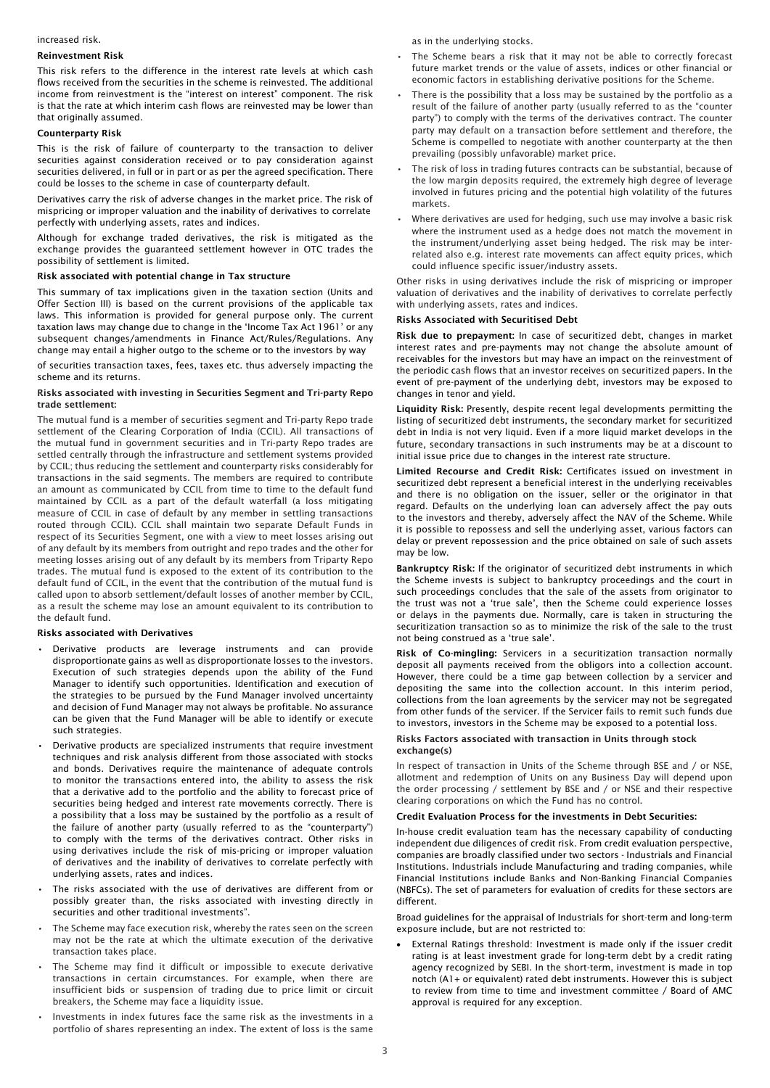## increased risk.

#### Reinvestment Risk

This risk refers to the difference in the interest rate levels at which cash flows received from the securities in the scheme is reinvested. The additional income from reinvestment is the "interest on interest" component. The risk is that the rate at which interim cash flows are reinvested may be lower than that originally assumed.

## Counterparty Risk

This is the risk of failure of counterparty to the transaction to deliver securities against consideration received or to pay consideration against securities delivered, in full or in part or as per the agreed specification. There could be losses to the scheme in case of counterparty default.

Derivatives carry the risk of adverse changes in the market price. The risk of mispricing or improper valuation and the inability of derivatives to correlate perfectly with underlying assets, rates and indices.

Although for exchange traded derivatives, the risk is mitigated as the exchange provides the guaranteed settlement however in OTC trades the possibility of settlement is limited.

# Risk associated with potential change in Tax structure

This summary of tax implications given in the taxation section (Units and Offer Section III) is based on the current provisions of the applicable tax laws. This information is provided for general purpose only. The current taxation laws may change due to change in the 'Income Tax Act 1961' or any subsequent changes/amendments in Finance Act/Rules/Regulations. Any change may entail a higher outgo to the scheme or to the investors by way

of securities transaction taxes, fees, taxes etc. thus adversely impacting the scheme and its returns.

## Risks associated with investing in Securities Segment and Tri-party Repo trade settlement:

The mutual fund is a member of securities segment and Tri-party Repo trade settlement of the Clearing Corporation of India (CCIL). All transactions of the mutual fund in government securities and in Tri-party Repo trades are settled centrally through the infrastructure and settlement systems provided by CCIL; thus reducing the settlement and counterparty risks considerably for transactions in the said segments. The members are required to contribute an amount as communicated by CCIL from time to time to the default fund maintained by CCIL as a part of the default waterfall (a loss mitigating measure of CCIL in case of default by any member in settling transactions routed through CCIL). CCIL shall maintain two separate Default Funds in respect of its Securities Segment, one with a view to meet losses arising out of any default by its members from outright and repo trades and the other for meeting losses arising out of any default by its members from Triparty Repo trades. The mutual fund is exposed to the extent of its contribution to the default fund of CCIL, in the event that the contribution of the mutual fund is called upon to absorb settlement/default losses of another member by CCIL, as a result the scheme may lose an amount equivalent to its contribution to the default fund.

#### Risks associated with Derivatives

- Derivative products are leverage instruments and can provide disproportionate gains as well as disproportionate losses to the investors. Execution of such strategies depends upon the ability of the Fund Manager to identify such opportunities. Identification and execution of the strategies to be pursued by the Fund Manager involved uncertainty and decision of Fund Manager may not always be profitable. No assurance can be given that the Fund Manager will be able to identify or execute such strategies.
- Derivative products are specialized instruments that require investment techniques and risk analysis different from those associated with stocks and bonds. Derivatives require the maintenance of adequate controls to monitor the transactions entered into, the ability to assess the risk that a derivative add to the portfolio and the ability to forecast price of securities being hedged and interest rate movements correctly. There is a possibility that a loss may be sustained by the portfolio as a result of the failure of another party (usually referred to as the "counterparty") to comply with the terms of the derivatives contract. Other risks in using derivatives include the risk of mis-pricing or improper valuation of derivatives and the inability of derivatives to correlate perfectly with underlying assets, rates and indices.
- The risks associated with the use of derivatives are different from or possibly greater than, the risks associated with investing directly in securities and other traditional investments".
- The Scheme may face execution risk, whereby the rates seen on the screen may not be the rate at which the ultimate execution of the derivative transaction takes place.
- The Scheme may find it difficult or impossible to execute derivative transactions in certain circumstances. For example, when there are insufficient bids or suspension of trading due to price limit or circuit breakers, the Scheme may face a liquidity issue.
- Investments in index futures face the same risk as the investments in a portfolio of shares representing an index. The extent of loss is the same

as in the underlying stocks.

- The Scheme bears a risk that it may not be able to correctly forecast future market trends or the value of assets, indices or other financial or economic factors in establishing derivative positions for the Scheme.
- There is the possibility that a loss may be sustained by the portfolio as a result of the failure of another party (usually referred to as the "counter party") to comply with the terms of the derivatives contract. The counter party may default on a transaction before settlement and therefore, the Scheme is compelled to negotiate with another counterparty at the then prevailing (possibly unfavorable) market price.
- The risk of loss in trading futures contracts can be substantial, because of the low margin deposits required, the extremely high degree of leverage involved in futures pricing and the potential high volatility of the futures markets.
- Where derivatives are used for hedging, such use may involve a basic risk where the instrument used as a hedge does not match the movement in the instrument/underlying asset being hedged. The risk may be interrelated also e.g. interest rate movements can affect equity prices, which could influence specific issuer/industry assets.

Other risks in using derivatives include the risk of mispricing or improper valuation of derivatives and the inability of derivatives to correlate perfectly with underlying assets, rates and indices.

## Risks Associated with Securitised Debt

Risk due to prepayment: In case of securitized debt, changes in market interest rates and pre-payments may not change the absolute amount of receivables for the investors but may have an impact on the reinvestment of the periodic cash flows that an investor receives on securitized papers. In the event of pre-payment of the underlying debt, investors may be exposed to changes in tenor and yield.

Liquidity Risk: Presently, despite recent legal developments permitting the listing of securitized debt instruments, the secondary market for securitized debt in India is not very liquid. Even if a more liquid market develops in the future, secondary transactions in such instruments may be at a discount to initial issue price due to changes in the interest rate structure.

Limited Recourse and Credit Risk: Certificates issued on investment in securitized debt represent a beneficial interest in the underlying receivables and there is no obligation on the issuer, seller or the originator in that regard. Defaults on the underlying loan can adversely affect the pay outs to the investors and thereby, adversely affect the NAV of the Scheme. While it is possible to repossess and sell the underlying asset, various factors can delay or prevent repossession and the price obtained on sale of such assets may be low.

Bankruptcy Risk: If the originator of securitized debt instruments in which the Scheme invests is subject to bankruptcy proceedings and the court in such proceedings concludes that the sale of the assets from originator to the trust was not a 'true sale', then the Scheme could experience losses or delays in the payments due. Normally, care is taken in structuring the securitization transaction so as to minimize the risk of the sale to the trust not being construed as a 'true sale'.

Risk of Co-mingling: Servicers in a securitization transaction normally deposit all payments received from the obligors into a collection account. However, there could be a time gap between collection by a servicer and depositing the same into the collection account. In this interim period, collections from the loan agreements by the servicer may not be segregated from other funds of the servicer. If the Servicer fails to remit such funds due to investors, investors in the Scheme may be exposed to a potential loss.

## Risks Factors associated with transaction in Units through stock exchange(s)

In respect of transaction in Units of the Scheme through BSE and / or NSE. allotment and redemption of Units on any Business Day will depend upon the order processing / settlement by BSE and / or NSE and their respective clearing corporations on which the Fund has no control.

## Credit Evaluation Process for the investments in Debt Securities:

In-house credit evaluation team has the necessary capability of conducting independent due diligences of credit risk. From credit evaluation perspective, companies are broadly classified under two sectors - Industrials and Financial Institutions. Industrials include Manufacturing and trading companies, while Financial Institutions include Banks and Non-Banking Financial Companies (NBFCs). The set of parameters for evaluation of credits for these sectors are different.

Broad guidelines for the appraisal of Industrials for short-term and long-term exposure include, but are not restricted to:

• External Ratings threshold: Investment is made only if the issuer credit rating is at least investment grade for long-term debt by a credit rating agency recognized by SEBI. In the short-term, investment is made in top notch (A1+ or equivalent) rated debt instruments. However this is subject to review from time to time and investment committee / Board of AMC approval is required for any exception.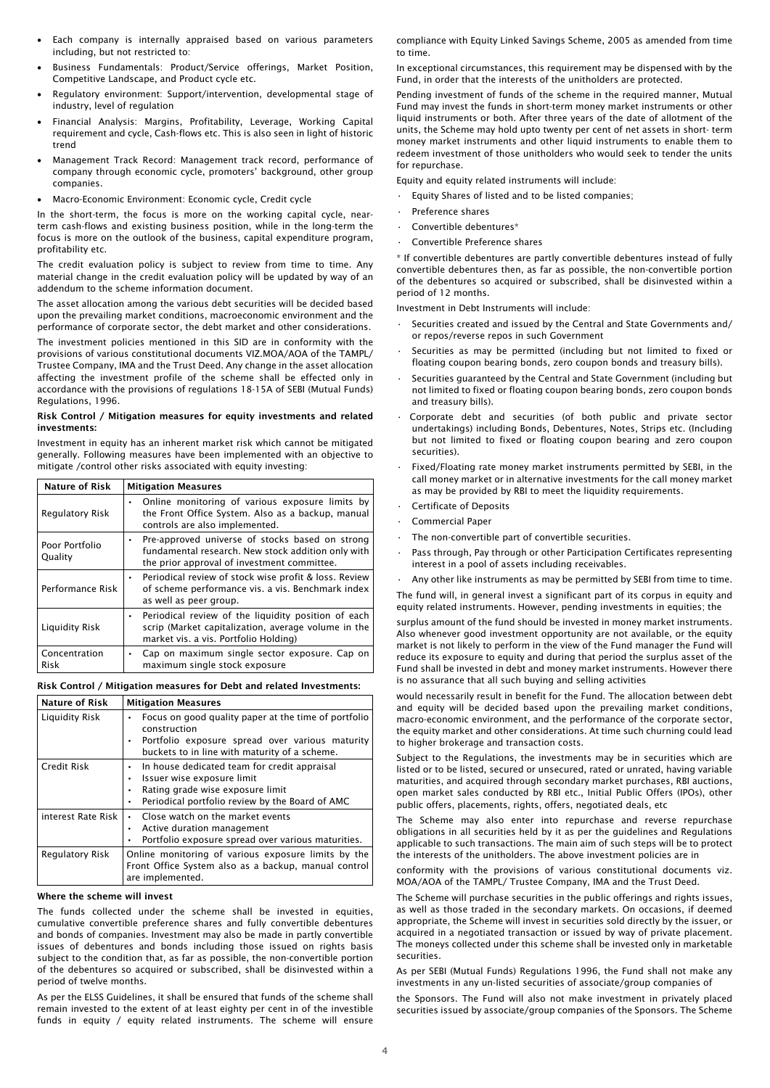- Each company is internally appraised based on various parameters including, but not restricted to:
- Business Fundamentals: Product/Service offerings, Market Position, Competitive Landscape, and Product cycle etc.
- Regulatory environment: Support/intervention, developmental stage of industry, level of regulation
- Financial Analysis: Margins, Profitability, Leverage, Working Capital requirement and cycle, Cash-flows etc. This is also seen in light of historic trend
- Management Track Record: Management track record, performance of company through economic cycle, promoters' background, other group companies.
- Macro-Economic Environment: Economic cycle, Credit cycle

In the short-term, the focus is more on the working capital cycle, nearterm cash-flows and existing business position, while in the long-term the focus is more on the outlook of the business, capital expenditure program, profitability etc.

The credit evaluation policy is subject to review from time to time. Any material change in the credit evaluation policy will be updated by way of an addendum to the scheme information document.

The asset allocation among the various debt securities will be decided based upon the prevailing market conditions, macroeconomic environment and the performance of corporate sector, the debt market and other considerations.

The investment policies mentioned in this SID are in conformity with the provisions of various constitutional documents VIZ.MOA/AOA of the TAMPL/ Trustee Company, IMA and the Trust Deed. Any change in the asset allocation affecting the investment profile of the scheme shall be effected only in accordance with the provisions of regulations 18-15A of SEBI (Mutual Funds) Regulations, 1996.

## Risk Control / Mitigation measures for equity investments and related investments:

Investment in equity has an inherent market risk which cannot be mitigated generally. Following measures have been implemented with an objective to mitigate /control other risks associated with equity investing:

| <b>Nature of Risk</b>     | <b>Mitigation Measures</b>                                                                                                                           |  |
|---------------------------|------------------------------------------------------------------------------------------------------------------------------------------------------|--|
| Regulatory Risk           | • Online monitoring of various exposure limits by<br>the Front Office System. Also as a backup, manual<br>controls are also implemented.             |  |
| Poor Portfolio<br>Quality | Pre-approved universe of stocks based on strong<br>fundamental research. New stock addition only with<br>the prior approval of investment committee. |  |
| Performance Risk          | • Periodical review of stock wise profit & loss. Review<br>of scheme performance vis. a vis. Benchmark index<br>as well as peer group.               |  |
| Liquidity Risk            | Periodical review of the liquidity position of each<br>scrip (Market capitalization, average volume in the<br>market vis. a vis. Portfolio Holding)  |  |
| Concentration<br>Risk     | Cap on maximum single sector exposure. Cap on<br>$\bullet$<br>maximum single stock exposure                                                          |  |

## Risk Control / Mitigation measures for Debt and related Investments:

| <b>Nature of Risk</b> | <b>Mitigation Measures</b>                                                                                                                                               |
|-----------------------|--------------------------------------------------------------------------------------------------------------------------------------------------------------------------|
| Liquidity Risk        | Focus on good quality paper at the time of portfolio<br>construction<br>Portfolio exposure spread over various maturity<br>buckets to in line with maturity of a scheme. |
| Credit Risk           | In house dedicated team for credit appraisal<br>Issuer wise exposure limit<br>Rating grade wise exposure limit<br>٠<br>Periodical portfolio review by the Board of AMC   |
| interest Rate Risk    | • Close watch on the market events<br>Active duration management<br>Portfolio exposure spread over various maturities.                                                   |
| Regulatory Risk       | Online monitoring of various exposure limits by the<br>Front Office System also as a backup, manual control<br>are implemented.                                          |

## Where the scheme will invest

The funds collected under the scheme shall be invested in equities, cumulative convertible preference shares and fully convertible debentures and bonds of companies. Investment may also be made in partly convertible issues of debentures and bonds including those issued on rights basis subject to the condition that, as far as possible, the non-convertible portion of the debentures so acquired or subscribed, shall be disinvested within a period of twelve months.

As per the ELSS Guidelines, it shall be ensured that funds of the scheme shall remain invested to the extent of at least eighty per cent in of the investible funds in equity / equity related instruments. The scheme will ensure

compliance with Equity Linked Savings Scheme, 2005 as amended from time to time.

In exceptional circumstances, this requirement may be dispensed with by the Fund, in order that the interests of the unitholders are protected.

Pending investment of funds of the scheme in the required manner, Mutual Fund may invest the funds in short-term money market instruments or other liquid instruments or both. After three years of the date of allotment of the units, the Scheme may hold upto twenty per cent of net assets in short- term money market instruments and other liquid instruments to enable them to redeem investment of those unitholders who would seek to tender the units for repurchase.

Equity and equity related instruments will include:

- Equity Shares of listed and to be listed companies;
- Preference shares
- Convertible debentures\*
- Convertible Preference shares

\* If convertible debentures are partly convertible debentures instead of fully convertible debentures then, as far as possible, the non-convertible portion of the debentures so acquired or subscribed, shall be disinvested within a period of 12 months.

Investment in Debt Instruments will include:

- Securities created and issued by the Central and State Governments and/ or repos/reverse repos in such Government
- Securities as may be permitted (including but not limited to fixed or floating coupon bearing bonds, zero coupon bonds and treasury bills).
- Securities guaranteed by the Central and State Government (including but not limited to fixed or floating coupon bearing bonds, zero coupon bonds and treasury bills).
- Corporate debt and securities (of both public and private sector undertakings) including Bonds, Debentures, Notes, Strips etc. (Including but not limited to fixed or floating coupon bearing and zero coupon securities).
- Fixed/Floating rate money market instruments permitted by SEBI, in the call money market or in alternative investments for the call money market as may be provided by RBI to meet the liquidity requirements.
- Certificate of Deposits
- Commercial Paper
- The non-convertible part of convertible securities.
- Pass through, Pay through or other Participation Certificates representing interest in a pool of assets including receivables.

Any other like instruments as may be permitted by SEBI from time to time. The fund will, in general invest a significant part of its corpus in equity and equity related instruments. However, pending investments in equities; the

surplus amount of the fund should be invested in money market instruments. Also whenever good investment opportunity are not available, or the equity market is not likely to perform in the view of the Fund manager the Fund will reduce its exposure to equity and during that period the surplus asset of the Fund shall be invested in debt and money market instruments. However there is no assurance that all such buying and selling activities

would necessarily result in benefit for the Fund. The allocation between debt and equity will be decided based upon the prevailing market conditions, macro-economic environment, and the performance of the corporate sector, the equity market and other considerations. At time such churning could lead to higher brokerage and transaction costs.

Subject to the Regulations, the investments may be in securities which are listed or to be listed, secured or unsecured, rated or unrated, having variable maturities, and acquired through secondary market purchases, RBI auctions, open market sales conducted by RBI etc., Initial Public Offers (IPOs), other public offers, placements, rights, offers, negotiated deals, etc

The Scheme may also enter into repurchase and reverse repurchase obligations in all securities held by it as per the guidelines and Regulations applicable to such transactions. The main aim of such steps will be to protect the interests of the unitholders. The above investment policies are in

conformity with the provisions of various constitutional documents viz. MOA/AOA of the TAMPL/ Trustee Company, IMA and the Trust Deed.

The Scheme will purchase securities in the public offerings and rights issues, as well as those traded in the secondary markets. On occasions, if deemed appropriate, the Scheme will invest in securities sold directly by the issuer, or acquired in a negotiated transaction or issued by way of private placement. The moneys collected under this scheme shall be invested only in marketable securities.

As per SEBI (Mutual Funds) Regulations 1996, the Fund shall not make any investments in any un-listed securities of associate/group companies of

the Sponsors. The Fund will also not make investment in privately placed securities issued by associate/group companies of the Sponsors. The Scheme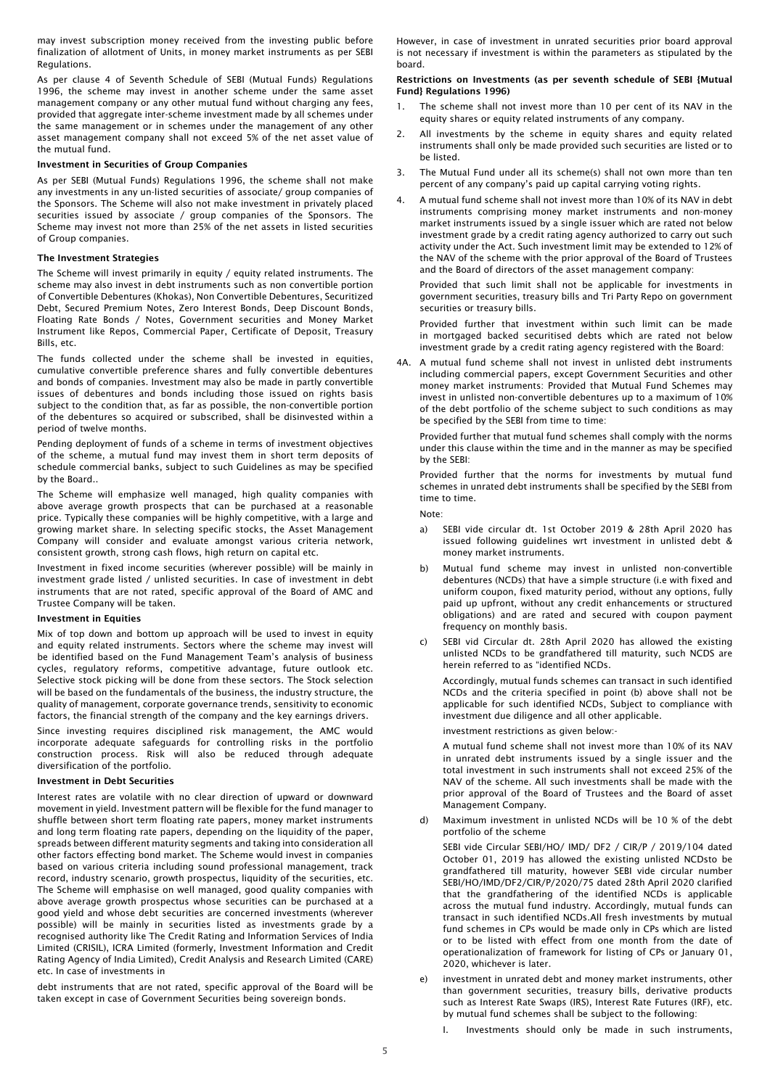may invest subscription money received from the investing public before finalization of allotment of Units, in money market instruments as per SEBI Regulations.

As per clause 4 of Seventh Schedule of SEBI (Mutual Funds) Regulations 1996, the scheme may invest in another scheme under the same asset management company or any other mutual fund without charging any fees, provided that aggregate inter-scheme investment made by all schemes under the same management or in schemes under the management of any other asset management company shall not exceed 5% of the net asset value of the mutual fund.

#### Investment in Securities of Group Companies

As per SEBI (Mutual Funds) Regulations 1996, the scheme shall not make any investments in any un-listed securities of associate/ group companies of the Sponsors. The Scheme will also not make investment in privately placed securities issued by associate / group companies of the Sponsors. The Scheme may invest not more than 25% of the net assets in listed securities of Group companies.

#### The Investment Strategies

The Scheme will invest primarily in equity / equity related instruments. The scheme may also invest in debt instruments such as non convertible portion of Convertible Debentures (Khokas), Non Convertible Debentures, Securitized Debt, Secured Premium Notes, Zero Interest Bonds, Deep Discount Bonds, Floating Rate Bonds / Notes, Government securities and Money Market Instrument like Repos, Commercial Paper, Certificate of Deposit, Treasury Bills, etc.

The funds collected under the scheme shall be invested in equities, cumulative convertible preference shares and fully convertible debentures and bonds of companies. Investment may also be made in partly convertible issues of debentures and bonds including those issued on rights basis subject to the condition that, as far as possible, the non-convertible portion of the debentures so acquired or subscribed, shall be disinvested within a period of twelve months.

Pending deployment of funds of a scheme in terms of investment objectives of the scheme, a mutual fund may invest them in short term deposits of schedule commercial banks, subject to such Guidelines as may be specified by the Board..

The Scheme will emphasize well managed, high quality companies with above average growth prospects that can be purchased at a reasonable price. Typically these companies will be highly competitive, with a large and growing market share. In selecting specific stocks, the Asset Management Company will consider and evaluate amongst various criteria network, consistent growth, strong cash flows, high return on capital etc.

Investment in fixed income securities (wherever possible) will be mainly in investment grade listed / unlisted securities. In case of investment in debt instruments that are not rated, specific approval of the Board of AMC and Trustee Company will be taken.

#### Investment in Equities

Mix of top down and bottom up approach will be used to invest in equity and equity related instruments. Sectors where the scheme may invest will be identified based on the Fund Management Team's analysis of business cycles, regulatory reforms, competitive advantage, future outlook etc. Selective stock picking will be done from these sectors. The Stock selection will be based on the fundamentals of the business, the industry structure, the quality of management, corporate governance trends, sensitivity to economic factors, the financial strength of the company and the key earnings drivers.

Since investing requires disciplined risk management, the AMC would incorporate adequate safeguards for controlling risks in the portfolio construction process. Risk will also be reduced through adequate diversification of the portfolio.

#### Investment in Debt Securities

Interest rates are volatile with no clear direction of upward or downward movement in yield. Investment pattern will be flexible for the fund manager to shuffle between short term floating rate papers, money market instruments and long term floating rate papers, depending on the liquidity of the paper, spreads between different maturity segments and taking into consideration all other factors effecting bond market. The Scheme would invest in companies based on various criteria including sound professional management, track record, industry scenario, growth prospectus, liquidity of the securities, etc. The Scheme will emphasise on well managed, good quality companies with above average growth prospectus whose securities can be purchased at a good yield and whose debt securities are concerned investments (wherever possible) will be mainly in securities listed as investments grade by a recognised authority like The Credit Rating and Information Services of India Limited (CRISIL), ICRA Limited (formerly, Investment Information and Credit Rating Agency of India Limited), Credit Analysis and Research Limited (CARE) etc. In case of investments in

debt instruments that are not rated, specific approval of the Board will be taken except in case of Government Securities being sovereign bonds.

However, in case of investment in unrated securities prior board approval is not necessary if investment is within the parameters as stipulated by the board.

## Restrictions on Investments (as per seventh schedule of SEBI {Mutual Fund} Regulations 1996)

- The scheme shall not invest more than 10 per cent of its NAV in the equity shares or equity related instruments of any company.
- 2. All investments by the scheme in equity shares and equity related instruments shall only be made provided such securities are listed or to be listed.
- 3. The Mutual Fund under all its scheme(s) shall not own more than ten percent of any company's paid up capital carrying voting rights.
- 4. A mutual fund scheme shall not invest more than 10% of its NAV in debt instruments comprising money market instruments and non-money market instruments issued by a single issuer which are rated not below investment grade by a credit rating agency authorized to carry out such activity under the Act. Such investment limit may be extended to 12% of the NAV of the scheme with the prior approval of the Board of Trustees and the Board of directors of the asset management company:

Provided that such limit shall not be applicable for investments in government securities, treasury bills and Tri Party Repo on government securities or treasury bills.

Provided further that investment within such limit can be made in mortgaged backed securitised debts which are rated not below investment grade by a credit rating agency registered with the Board:

4A. A mutual fund scheme shall not invest in unlisted debt instruments including commercial papers, except Government Securities and other money market instruments: Provided that Mutual Fund Schemes may invest in unlisted non-convertible debentures up to a maximum of 10% of the debt portfolio of the scheme subject to such conditions as may be specified by the SEBI from time to time:

Provided further that mutual fund schemes shall comply with the norms under this clause within the time and in the manner as may be specified by the SEBI:

Provided further that the norms for investments by mutual fund schemes in unrated debt instruments shall be specified by the SEBI from time to time.

Note:

- a) SEBI vide circular dt. 1st October 2019 & 28th April 2020 has issued following guidelines wrt investment in unlisted debt & money market instruments.
- b) Mutual fund scheme may invest in unlisted non-convertible debentures (NCDs) that have a simple structure (i.e with fixed and uniform coupon, fixed maturity period, without any options, fully paid up upfront, without any credit enhancements or structured obligations) and are rated and secured with coupon payment frequency on monthly basis.
- c) SEBI vid Circular dt. 28th April 2020 has allowed the existing unlisted NCDs to be grandfathered till maturity, such NCDS are herein referred to as "identified NCDs.

Accordingly, mutual funds schemes can transact in such identified NCDs and the criteria specified in point (b) above shall not be applicable for such identified NCDs, Subject to compliance with investment due diligence and all other applicable.

investment restrictions as given below:-

A mutual fund scheme shall not invest more than 10% of its NAV in unrated debt instruments issued by a single issuer and the total investment in such instruments shall not exceed 25% of the NAV of the scheme. All such investments shall be made with the prior approval of the Board of Trustees and the Board of asset Management Company.

d) Maximum investment in unlisted NCDs will be 10 % of the debt portfolio of the scheme

SEBI vide Circular SEBI/HO/ IMD/ DF2 / CIR/P / 2019/104 dated October 01, 2019 has allowed the existing unlisted NCDsto be grandfathered till maturity, however SEBI vide circular number SEBI/HO/IMD/DF2/CIR/P/2020/75 dated 28th April 2020 clarified that the grandfathering of the identified NCDs is applicable across the mutual fund industry. Accordingly, mutual funds can transact in such identified NCDs.All fresh investments by mutual fund schemes in CPs would be made only in CPs which are listed or to be listed with effect from one month from the date of operationalization of framework for listing of CPs or January 01, 2020, whichever is later.

- investment in unrated debt and money market instruments, other than government securities, treasury bills, derivative products such as Interest Rate Swaps (IRS), Interest Rate Futures (IRF), etc. by mutual fund schemes shall be subject to the following:
	- Investments should only be made in such instruments,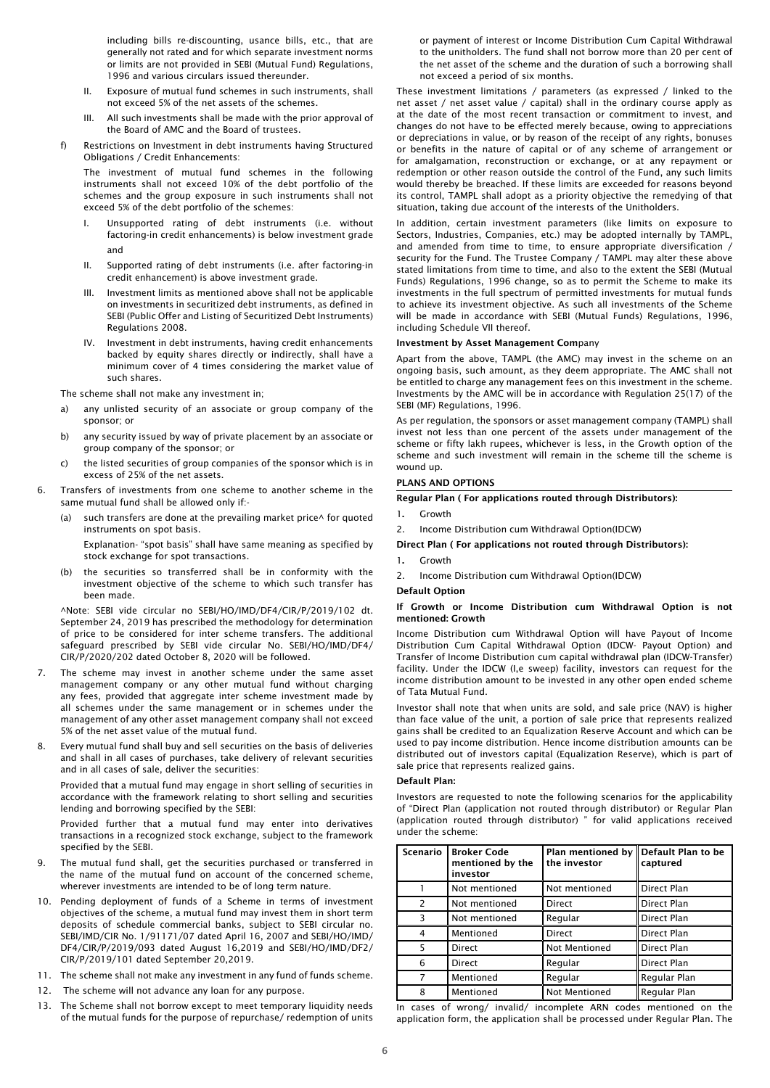including bills re-discounting, usance bills, etc., that are generally not rated and for which separate investment norms or limits are not provided in SEBI (Mutual Fund) Regulations, 1996 and various circulars issued thereunder.

- II. Exposure of mutual fund schemes in such instruments, shall not exceed 5% of the net assets of the schemes.
- III. All such investments shall be made with the prior approval of the Board of AMC and the Board of trustees.
- f) Restrictions on Investment in debt instruments having Structured Obligations / Credit Enhancements:

The investment of mutual fund schemes in the following instruments shall not exceed 10% of the debt portfolio of the schemes and the group exposure in such instruments shall not exceed 5% of the debt portfolio of the schemes:

- I. Unsupported rating of debt instruments (i.e. without factoring-in credit enhancements) is below investment grade and
- II. Supported rating of debt instruments (i.e. after factoring-in credit enhancement) is above investment grade.
- III. Investment limits as mentioned above shall not be applicable on investments in securitized debt instruments, as defined in SEBI (Public Offer and Listing of Securitized Debt Instruments) Regulations 2008.
- IV. Investment in debt instruments, having credit enhancements backed by equity shares directly or indirectly, shall have a minimum cover of 4 times considering the market value of such shares.

The scheme shall not make any investment in;

- a) any unlisted security of an associate or group company of the sponsor; or
- b) any security issued by way of private placement by an associate or group company of the sponsor; or
- c) the listed securities of group companies of the sponsor which is in excess of 25% of the net assets.
- 6. Transfers of investments from one scheme to another scheme in the same mutual fund shall be allowed only if:
	- such transfers are done at the prevailing market price^ for quoted instruments on spot basis.

Explanation- "spot basis" shall have same meaning as specified by stock exchange for spot transactions.

(b) the securities so transferred shall be in conformity with the investment objective of the scheme to which such transfer has been made.

^Note: SEBI vide circular no SEBI/HO/IMD/DF4/CIR/P/2019/102 dt. September 24, 2019 has prescribed the methodology for determination of price to be considered for inter scheme transfers. The additional safeguard prescribed by SEBI vide circular No. SEBI/HO/IMD/DF4/ CIR/P/2020/202 dated October 8, 2020 will be followed.

- The scheme may invest in another scheme under the same asset management company or any other mutual fund without charging any fees, provided that aggregate inter scheme investment made by all schemes under the same management or in schemes under the management of any other asset management company shall not exceed 5% of the net asset value of the mutual fund.
- Every mutual fund shall buy and sell securities on the basis of deliveries and shall in all cases of purchases, take delivery of relevant securities and in all cases of sale, deliver the securities:

Provided that a mutual fund may engage in short selling of securities in accordance with the framework relating to short selling and securities lending and borrowing specified by the SEBI:

Provided further that a mutual fund may enter into derivatives transactions in a recognized stock exchange, subject to the framework specified by the SEBI.

- The mutual fund shall, get the securities purchased or transferred in the name of the mutual fund on account of the concerned scheme, wherever investments are intended to be of long term nature.
- 10. Pending deployment of funds of a Scheme in terms of investment objectives of the scheme, a mutual fund may invest them in short term deposits of schedule commercial banks, subject to SEBI circular no. SEBI/IMD/CIR No. 1/91171/07 dated April 16, 2007 and SEBI/HO/IMD/ DF4/CIR/P/2019/093 dated August 16,2019 and SEBI/HO/IMD/DF2/ CIR/P/2019/101 dated September 20,2019.
- 11. The scheme shall not make any investment in any fund of funds scheme.
- 12. The scheme will not advance any loan for any purpose.
- 13. The Scheme shall not borrow except to meet temporary liquidity needs of the mutual funds for the purpose of repurchase/ redemption of units

or payment of interest or Income Distribution Cum Capital Withdrawal to the unitholders. The fund shall not borrow more than 20 per cent of the net asset of the scheme and the duration of such a borrowing shall not exceed a period of six months.

These investment limitations / parameters (as expressed / linked to the net asset / net asset value / capital) shall in the ordinary course apply as at the date of the most recent transaction or commitment to invest, and changes do not have to be effected merely because, owing to appreciations or depreciations in value, or by reason of the receipt of any rights, bonuses or benefits in the nature of capital or of any scheme of arrangement or for amalgamation, reconstruction or exchange, or at any repayment or redemption or other reason outside the control of the Fund, any such limits would thereby be breached. If these limits are exceeded for reasons beyond its control, TAMPL shall adopt as a priority objective the remedying of that situation, taking due account of the interests of the Unitholders.

In addition, certain investment parameters (like limits on exposure to Sectors, Industries, Companies, etc.) may be adopted internally by TAMPL, and amended from time to time, to ensure appropriate diversification / security for the Fund. The Trustee Company / TAMPL may alter these above stated limitations from time to time, and also to the extent the SEBI (Mutual Funds) Regulations, 1996 change, so as to permit the Scheme to make its investments in the full spectrum of permitted investments for mutual funds to achieve its investment objective. As such all investments of the Scheme will be made in accordance with SEBI (Mutual Funds) Regulations, 1996, including Schedule VII thereof.

## Investment by Asset Management Company

Apart from the above, TAMPL (the AMC) may invest in the scheme on an ongoing basis, such amount, as they deem appropriate. The AMC shall not be entitled to charge any management fees on this investment in the scheme. Investments by the AMC will be in accordance with Regulation 25(17) of the SEBI (MF) Regulations, 1996.

As per regulation, the sponsors or asset management company (TAMPL) shall invest not less than one percent of the assets under management of the scheme or fifty lakh rupees, whichever is less, in the Growth option of the scheme and such investment will remain in the scheme till the scheme is wound up.

## PLANS AND OPTIONS

## Regular Plan ( For applications routed through Distributors):

- 1. Growth
- 2. Income Distribution cum Withdrawal Option(IDCW)

## Direct Plan ( For applications not routed through Distributors):

- 1. Growth
- 2. Income Distribution cum Withdrawal Option(IDCW)

## Default Option

## If Growth or Income Distribution cum Withdrawal Option is not mentioned: Growth

Income Distribution cum Withdrawal Option will have Payout of Income Distribution Cum Capital Withdrawal Option (IDCW- Payout Option) and Transfer of Income Distribution cum capital withdrawal plan (IDCW-Transfer) facility. Under the IDCW (I,e sweep) facility, investors can request for the income distribution amount to be invested in any other open ended scheme of Tata Mutual Fund.

Investor shall note that when units are sold, and sale price (NAV) is higher than face value of the unit, a portion of sale price that represents realized gains shall be credited to an Equalization Reserve Account and which can be used to pay income distribution. Hence income distribution amounts can be distributed out of investors capital (Equalization Reserve), which is part of sale price that represents realized gains.

#### Default Plan:

Investors are requested to note the following scenarios for the applicability of "Direct Plan (application not routed through distributor) or Regular Plan (application routed through distributor) " for valid applications received under the scheme:

| Scenario | <b>Broker Code</b><br>mentioned by the<br>investor | Plan mentioned by<br>the investor | Default Plan to be<br>captured |
|----------|----------------------------------------------------|-----------------------------------|--------------------------------|
|          | Not mentioned                                      | Not mentioned                     | Direct Plan                    |
| 2        | Not mentioned                                      | Direct                            | Direct Plan                    |
| 3        | Not mentioned                                      | Regular                           | Direct Plan                    |
| 4        | Mentioned                                          | <b>Direct</b>                     | Direct Plan                    |
| 5        | <b>Direct</b>                                      | <b>Not Mentioned</b>              | Direct Plan                    |
| 6        | Direct                                             | Regular                           | Direct Plan                    |
| 7        | Mentioned                                          | Regular                           | Regular Plan                   |
| 8        | Mentioned                                          | Not Mentioned                     | Regular Plan                   |

In cases of wrong/ invalid/ incomplete ARN codes mentioned on the application form, the application shall be processed under Regular Plan. The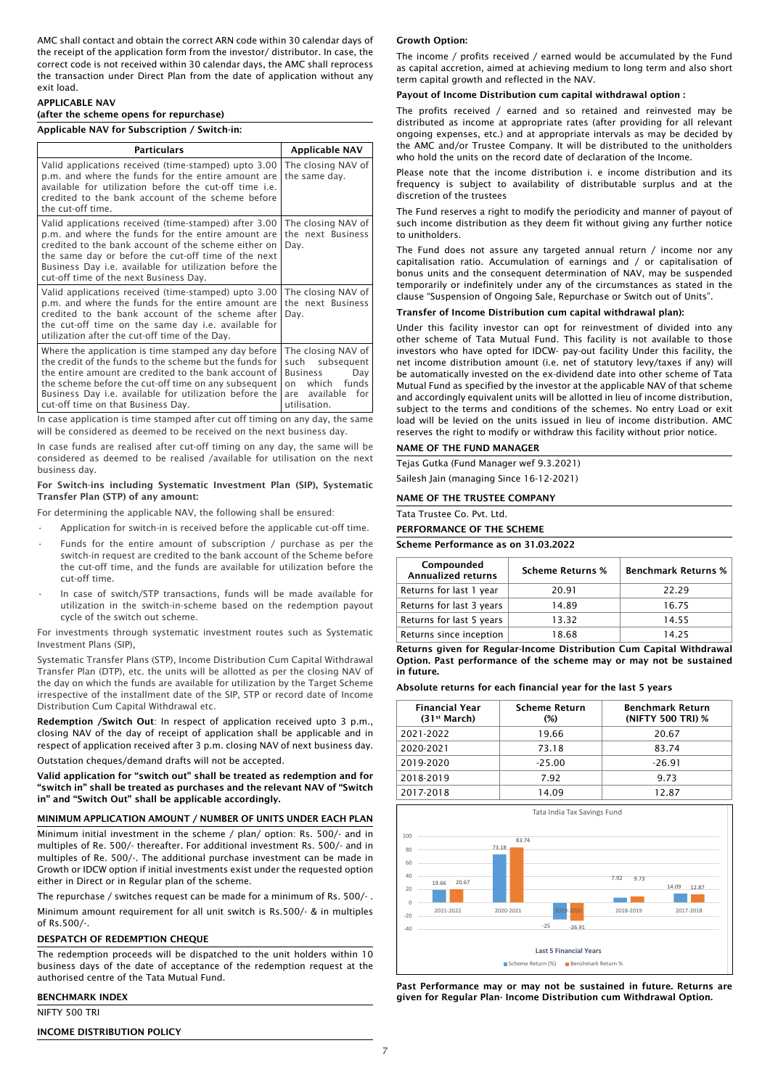AMC shall contact and obtain the correct ARN code within 30 calendar days of the receipt of the application form from the investor/ distributor. In case, the correct code is not received within 30 calendar days, the AMC shall reprocess the transaction under Direct Plan from the date of application without any exit load.

## APPLICABLE NAV

# (after the scheme opens for repurchase)

Applicable NAV for Subscription / Switch-in:

| <b>Particulars</b>                                                                                                                                                                                                                                                                                                                      | Applicable NAV                                                                                                        |
|-----------------------------------------------------------------------------------------------------------------------------------------------------------------------------------------------------------------------------------------------------------------------------------------------------------------------------------------|-----------------------------------------------------------------------------------------------------------------------|
| Valid applications received (time-stamped) upto 3.00<br>p.m. and where the funds for the entire amount are<br>available for utilization before the cut-off time i.e.<br>credited to the bank account of the scheme before<br>the cut-off time.                                                                                          | The closing NAV of<br>the same day.                                                                                   |
| Valid applications received (time-stamped) after 3.00<br>p.m. and where the funds for the entire amount are<br>credited to the bank account of the scheme either on<br>the same day or before the cut-off time of the next<br>Business Day <i>i.e.</i> available for utilization before the<br>cut-off time of the next Business Day.   | The closing NAV of<br>the next Business<br>Day.                                                                       |
| Valid applications received (time-stamped) upto 3.00<br>p.m. and where the funds for the entire amount are<br>credited to the bank account of the scheme after<br>the cut-off time on the same day i.e. available for<br>utilization after the cut-off time of the Day.                                                                 | The closing NAV of<br>the next Business<br>Day.                                                                       |
| Where the application is time stamped any day before<br>the credit of the funds to the scheme but the funds for<br>the entire amount are credited to the bank account of<br>the scheme before the cut-off time on any subsequent<br>Business Day <i>i.e.</i> available for utilization before the<br>cut-off time on that Business Day. | The closing NAV of<br>such subsequent<br>Business<br>Dav<br>which funds<br>on<br>are available<br>for<br>utilisation. |

In case application is time stamped after cut off timing on any day, the same will be considered as deemed to be received on the next business day.

In case funds are realised after cut-off timing on any day, the same will be considered as deemed to be realised /available for utilisation on the next business day.

## For Switch-ins including Systematic Investment Plan (SIP), Systematic Transfer Plan (STP) of any amount:

For determining the applicable NAV, the following shall be ensured:

- Application for switch-in is received before the applicable cut-off time.
- Funds for the entire amount of subscription / purchase as per the switch-in request are credited to the bank account of the Scheme before the cut-off time, and the funds are available for utilization before the cut-off time.
- In case of switch/STP transactions, funds will be made available for utilization in the switch-in-scheme based on the redemption payout cycle of the switch out scheme.

For investments through systematic investment routes such as Systematic Investment Plans (SIP),

Systematic Transfer Plans (STP), Income Distribution Cum Capital Withdrawal Transfer Plan (DTP), etc. the units will be allotted as per the closing NAV of the day on which the funds are available for utilization by the Target Scheme irrespective of the installment date of the SIP, STP or record date of Income Distribution Cum Capital Withdrawal etc.

Redemption /Switch Out: In respect of application received upto 3 p.m., closing NAV of the day of receipt of application shall be applicable and in respect of application received after 3 p.m. closing NAV of next business day.

Outstation cheques/demand drafts will not be accepted.

Valid application for "switch out" shall be treated as redemption and for "switch in" shall be treated as purchases and the relevant NAV of "Switch in" and "Switch Out" shall be applicable accordingly.

## MINIMUM APPLICATION AMOUNT / NUMBER OF UNITS UNDER EACH PLAN

Minimum initial investment in the scheme / plan/ option: Rs. 500/- and in multiples of Re. 500/- thereafter. For additional investment Rs. 500/- and in multiples of Re. 500/-. The additional purchase investment can be made in Growth or IDCW option if initial investments exist under the requested option either in Direct or in Regular plan of the scheme.

The repurchase / switches request can be made for a minimum of Rs. 500/- .

Minimum amount requirement for all unit switch is Rs.500/- & in multiples of Rs.500/-.

## DESPATCH OF REDEMPTION CHEQUE

The redemption proceeds will be dispatched to the unit holders within 10 business days of the date of acceptance of the redemption request at the authorised centre of the Tata Mutual Fund.

# BENCHMARK INDEX

NIFTY 500 TRI

#### INCOME DISTRIBUTION POLICY

#### Growth Option:

The income / profits received / earned would be accumulated by the Fund as capital accretion, aimed at achieving medium to long term and also short term capital growth and reflected in the NAV.

#### Payout of Income Distribution cum capital withdrawal option :

The profits received / earned and so retained and reinvested may be distributed as income at appropriate rates (after providing for all relevant ongoing expenses, etc.) and at appropriate intervals as may be decided by the AMC and/or Trustee Company. It will be distributed to the unitholders who hold the units on the record date of declaration of the Income.

Please note that the income distribution i. e income distribution and its frequency is subject to availability of distributable surplus and at the discretion of the trustees

The Fund reserves a right to modify the periodicity and manner of payout of such income distribution as they deem fit without giving any further notice to unitholders.

The Fund does not assure any targeted annual return / income nor any capitalisation ratio. Accumulation of earnings and / or capitalisation of bonus units and the consequent determination of NAV, may be suspended temporarily or indefinitely under any of the circumstances as stated in the clause "Suspension of Ongoing Sale, Repurchase or Switch out of Units".

## Transfer of Income Distribution cum capital withdrawal plan):

Under this facility investor can opt for reinvestment of divided into any other scheme of Tata Mutual Fund. This facility is not available to those investors who have opted for IDCW- pay-out facility Under this facility, the net income distribution amount (i.e. net of statutory levy/taxes if any) will be automatically invested on the ex-dividend date into other scheme of Tata Mutual Fund as specified by the investor at the applicable NAV of that scheme and accordingly equivalent units will be allotted in lieu of income distribution, subject to the terms and conditions of the schemes. No entry Load or exit load will be levied on the units issued in lieu of income distribution. AMC reserves the right to modify or withdraw this facility without prior notice.

#### NAME OF THE FUND MANAGER

Tejas Gutka (Fund Manager wef 9.3.2021) Sailesh Jain (managing Since 16-12-2021)

#### NAME OF THE TRUSTEE COMPANY

Tata Trustee Co. Pvt. Ltd.

## PERFORMANCE OF THE SCHEME

Scheme Performance as on 31.03.2022

| Compounded<br><b>Annualized returns</b> | <b>Scheme Returns %</b> | <b>Benchmark Returns %</b> |
|-----------------------------------------|-------------------------|----------------------------|
| Returns for last 1 year                 | 20.91                   | 22.29                      |
| Returns for last 3 years                | 14.89                   | 16.75                      |
| Returns for last 5 years                | 13.32                   | 14.55                      |
| Returns since inception                 | 18.68                   | 14 25                      |

Returns given for Regular-Income Distribution Cum Capital Withdrawal Option. Past performance of the scheme may or may not be sustained in future.

Absolute returns for each financial year for the last 5 years

| <b>Financial Year</b><br>(31 <sup>st</sup> March) | <b>Scheme Return</b><br>$(\%)$ | <b>Benchmark Return</b><br>(NIFTY 500 TRI) % |
|---------------------------------------------------|--------------------------------|----------------------------------------------|
| 2021-2022                                         | 19.66                          | 20.67                                        |
| 2020-2021                                         | 73.18                          | 83.74                                        |
| 2019-2020                                         | $-25.00$                       | $-26.91$                                     |
| 2018-2019                                         | 7.92                           | 9.73                                         |
| 2017-2018                                         | 14.09                          | 12.87                                        |



Past Performance may or may not be sustained in future. Returns are given for Regular Plan- Income Distribution cum Withdrawal Option.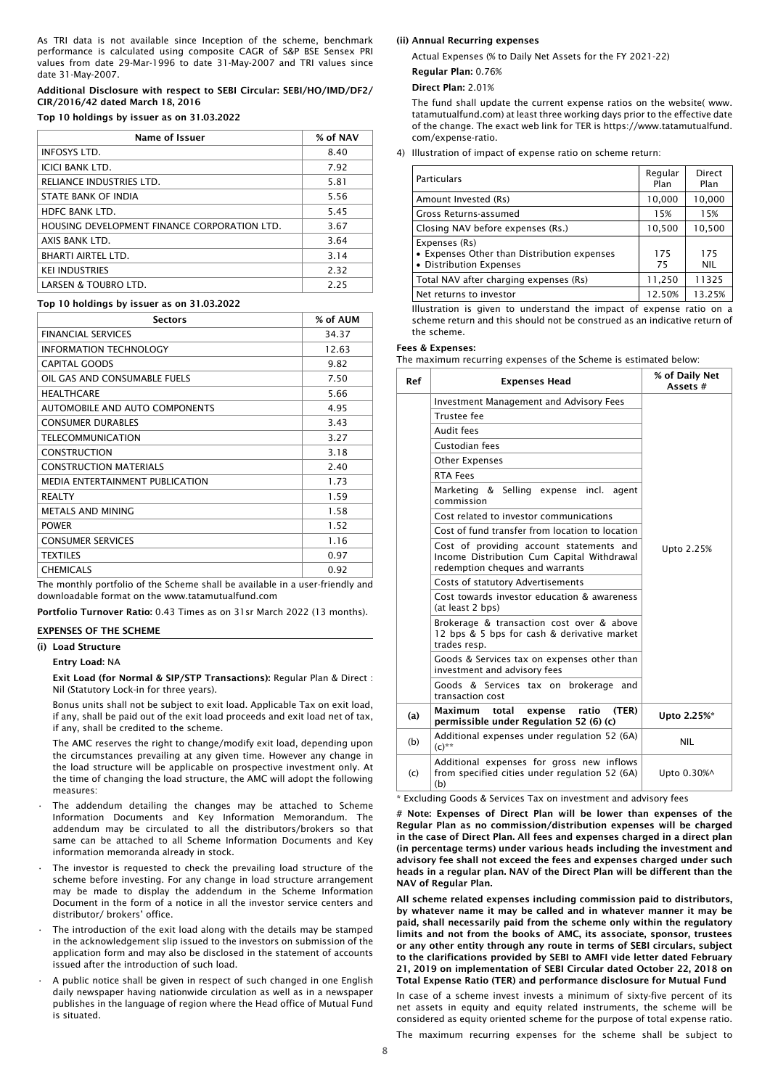As TRI data is not available since Inception of the scheme, benchmark performance is calculated using composite CAGR of S&P BSE Sensex PRI values from date 29-Mar-1996 to date 31-May-2007 and TRI values since date 31-May-2007.

## Additional Disclosure with respect to SEBI Circular: SEBI/HO/IMD/DF2/ CIR/2016/42 dated March 18, 2016

## Top 10 holdings by issuer as on 31.03.2022

| <b>Name of Issuer</b>                        | % of NAV |
|----------------------------------------------|----------|
| <b>INFOSYS LTD.</b>                          | 8.40     |
| <b>ICICI BANK LTD.</b>                       | 7.92     |
| RELIANCE INDUSTRIES LTD.                     | 5.81     |
| STATE BANK OF INDIA                          | 5.56     |
| <b>HDFC BANK LTD.</b>                        | 5.45     |
| HOUSING DEVELOPMENT FINANCE CORPORATION LTD. | 3.67     |
| AXIS BANK LTD.                               | 3.64     |
| <b>BHARTI AIRTEL LTD.</b>                    | 3.14     |
| <b>KEI INDUSTRIES</b>                        | 2.32     |
| <b>LARSEN &amp; TOUBRO LTD.</b>              | 2.25     |

## Top 10 holdings by issuer as on 31.03.2022

| <b>Sectors</b>                                                                | % of AUM |  |
|-------------------------------------------------------------------------------|----------|--|
| <b>FINANCIAL SERVICES</b>                                                     | 34.37    |  |
| <b>INFORMATION TECHNOLOGY</b>                                                 | 12.63    |  |
| <b>CAPITAL GOODS</b>                                                          | 9.82     |  |
| OIL GAS AND CONSUMABLE FUELS                                                  | 7.50     |  |
| <b>HEALTHCARE</b>                                                             | 5.66     |  |
| AUTOMOBILE AND AUTO COMPONENTS                                                | 4.95     |  |
| <b>CONSUMER DURABLES</b>                                                      | 3.43     |  |
| <b>TELECOMMUNICATION</b>                                                      | 3.27     |  |
| <b>CONSTRUCTION</b>                                                           | 3.18     |  |
| <b>CONSTRUCTION MATERIALS</b>                                                 | 2.40     |  |
| MEDIA ENTERTAINMENT PUBLICATION                                               | 1.73     |  |
| <b>REALTY</b>                                                                 | 1.59     |  |
| <b>METALS AND MINING</b>                                                      | 1.58     |  |
| <b>POWER</b>                                                                  | 1.52     |  |
| <b>CONSUMER SERVICES</b>                                                      | 1.16     |  |
| <b>TEXTILES</b>                                                               | 0.97     |  |
| <b>CHEMICALS</b>                                                              | 0.92     |  |
| The monthly nortfolio of the Scheme shall be available in a user-friendly and |          |  |

The monthly portfolio of the Scheme shall be available in a user-friendly and downloadable format on the www.tatamutualfund.com

Portfolio Turnover Ratio: 0.43 Times as on 31sr March 2022 (13 months).

## EXPENSES OF THE SCHEME

## (i) Load Structure

Entry Load: NA

Exit Load (for Normal & SIP/STP Transactions): Regular Plan & Direct : Nil (Statutory Lock-in for three years).

Bonus units shall not be subject to exit load. Applicable Tax on exit load, if any, shall be paid out of the exit load proceeds and exit load net of tax, if any, shall be credited to the scheme.

The AMC reserves the right to change/modify exit load, depending upon the circumstances prevailing at any given time. However any change in the load structure will be applicable on prospective investment only. At the time of changing the load structure, the AMC will adopt the following measures:

- The addendum detailing the changes may be attached to Scheme Information Documents and Key Information Memorandum. The addendum may be circulated to all the distributors/brokers so that same can be attached to all Scheme Information Documents and Key information memoranda already in stock.
- The investor is requested to check the prevailing load structure of the scheme before investing. For any change in load structure arrangement may be made to display the addendum in the Scheme Information Document in the form of a notice in all the investor service centers and distributor/ brokers' office.
- The introduction of the exit load along with the details may be stamped in the acknowledgement slip issued to the investors on submission of the application form and may also be disclosed in the statement of accounts issued after the introduction of such load.
- A public notice shall be given in respect of such changed in one English daily newspaper having nationwide circulation as well as in a newspaper publishes in the language of region where the Head office of Mutual Fund is situated.

#### (ii) Annual Recurring expenses

Actual Expenses (% to Daily Net Assets for the FY 2021-22)

Regular Plan: 0.76%

Direct Plan: 2.01%

The fund shall update the current expense ratios on the website( www. tatamutualfund.com) at least three working days prior to the effective date of the change. The exact web link for TER is https://www.tatamutualfund. com/expense-ratio.

4) Illustration of impact of expense ratio on scheme return:

| <b>Particulars</b>                                                                      | Regular<br>Plan | Direct<br>Plan    |
|-----------------------------------------------------------------------------------------|-----------------|-------------------|
| Amount Invested (Rs)                                                                    | 10,000          | 10,000            |
| Gross Returns-assumed                                                                   | 15%             | 15%               |
| Closing NAV before expenses (Rs.)                                                       | 10,500          | 10,500            |
| Expenses (Rs)<br>• Expenses Other than Distribution expenses<br>• Distribution Expenses | 175<br>75       | 175<br><b>NIL</b> |
| Total NAV after charging expenses (Rs)                                                  | 11,250          | 11325             |
| Net returns to investor                                                                 | 12.50%          | 13.25%            |

Illustration is given to understand the impact of expense ratio on a scheme return and this should not be construed as an indicative return of the scheme.

#### Fees & Expenses:

The maximum recurring expenses of the Scheme is estimated below:

| Ref | <b>Expenses Head</b>                                                                                                      | % of Daily Net<br>Assets # |
|-----|---------------------------------------------------------------------------------------------------------------------------|----------------------------|
|     | <b>Investment Management and Advisory Fees</b>                                                                            |                            |
|     | Trustee fee                                                                                                               |                            |
|     | Audit fees                                                                                                                |                            |
|     | Custodian fees                                                                                                            |                            |
|     | <b>Other Expenses</b>                                                                                                     |                            |
|     | <b>RTA Fees</b>                                                                                                           |                            |
|     | Marketing & Selling expense incl. agent<br>commission                                                                     |                            |
|     | Cost related to investor communications                                                                                   |                            |
|     | Cost of fund transfer from location to location                                                                           |                            |
|     | Cost of providing account statements and<br>Income Distribution Cum Capital Withdrawal<br>redemption cheques and warrants | Upto 2.25%                 |
|     | Costs of statutory Advertisements                                                                                         |                            |
|     | Cost towards investor education & awareness<br>(at least 2 bps)                                                           |                            |
|     | Brokerage & transaction cost over & above<br>12 bps & 5 bps for cash & derivative market<br>trades resp.                  |                            |
|     | Goods & Services tax on expenses other than<br>investment and advisory fees                                               |                            |
|     | Goods & Services tax on brokerage<br>and<br>transaction cost                                                              |                            |
| (a) | Maximum<br>(TER)<br>total<br>expense<br>ratio<br>permissible under Regulation 52 (6) (c)                                  | Upto 2.25%*                |
| (b) | Additional expenses under regulation 52 (6A)<br>$(C)$ **                                                                  | <b>NIL</b>                 |
| (c) | Additional expenses for gross new inflows<br>from specified cities under regulation 52 (6A)<br>(b)                        | Upto 0.30%^                |

Excluding Goods & Services Tax on investment and advisory fees

# Note: Expenses of Direct Plan will be lower than expenses of the Regular Plan as no commission/distribution expenses will be charged in the case of Direct Plan. All fees and expenses charged in a direct plan (in percentage terms) under various heads including the investment and advisory fee shall not exceed the fees and expenses charged under such heads in a regular plan. NAV of the Direct Plan will be different than the NAV of Regular Plan.

All scheme related expenses including commission paid to distributors, by whatever name it may be called and in whatever manner it may be paid, shall necessarily paid from the scheme only within the regulatory limits and not from the books of AMC, its associate, sponsor, trustees or any other entity through any route in terms of SEBI circulars, subject to the clarifications provided by SEBI to AMFI vide letter dated February 21, 2019 on implementation of SEBI Circular dated October 22, 2018 on Total Expense Ratio (TER) and performance disclosure for Mutual Fund

In case of a scheme invest invests a minimum of sixty-five percent of its net assets in equity and equity related instruments, the scheme will be considered as equity oriented scheme for the purpose of total expense ratio.

The maximum recurring expenses for the scheme shall be subject to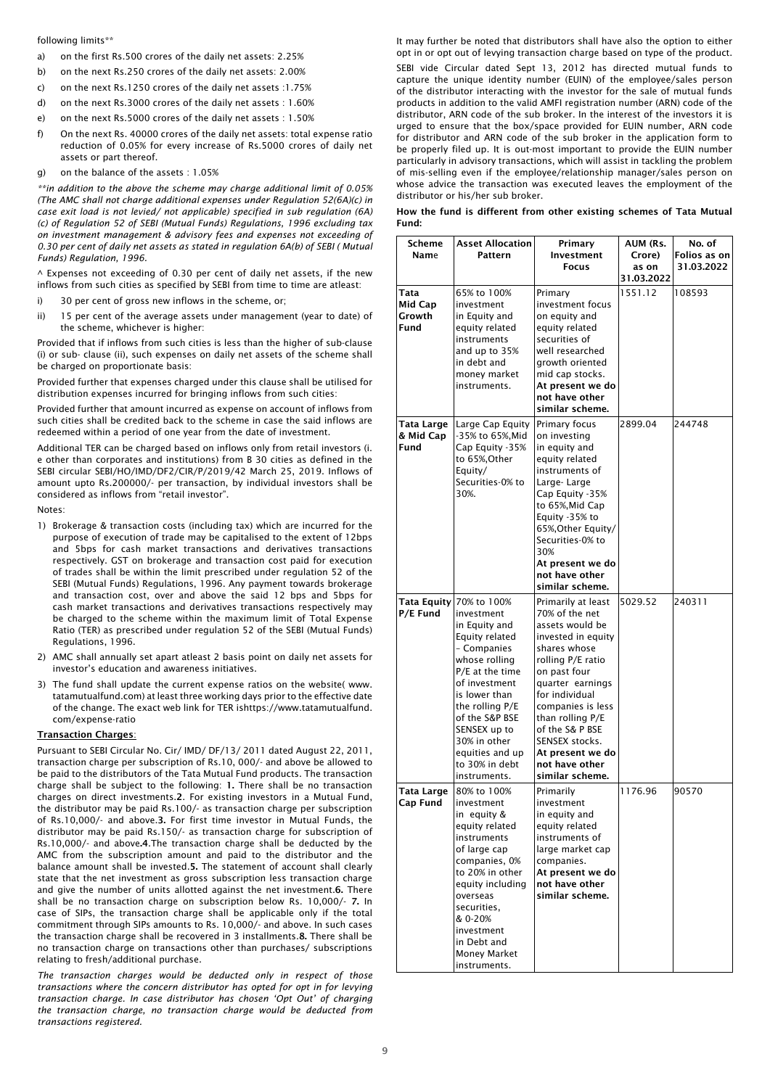following limits\*\*

- a) on the first Rs.500 crores of the daily net assets: 2.25%
- b) on the next Rs.250 crores of the daily net assets: 2.00%
- c) on the next Rs.1250 crores of the daily net assets :1.75%
- d) on the next Rs.3000 crores of the daily net assets : 1.60%
- e) on the next Rs.5000 crores of the daily net assets : 1.50%
- f) On the next Rs. 40000 crores of the daily net assets: total expense ratio reduction of 0.05% for every increase of Rs.5000 crores of daily net assets or part thereof.
- g) on the balance of the assets : 1.05%

*\*\*in addition to the above the scheme may charge additional limit of 0.05% (The AMC shall not charge additional expenses under Regulation 52(6A)(c) in case exit load is not levied/ not applicable) specified in sub regulation (6A) (c) of Regulation 52 of SEBI (Mutual Funds) Regulations, 1996 excluding tax on investment management & advisory fees and expenses not exceeding of 0.30 per cent of daily net assets as stated in regulation 6A(b) of SEBI ( Mutual Funds) Regulation, 1996.*

 $\land$  Expenses not exceeding of 0.30 per cent of daily net assets, if the new inflows from such cities as specified by SEBI from time to time are atleast:

- i) 30 per cent of gross new inflows in the scheme, or;
- ii) 15 per cent of the average assets under management (year to date) of the scheme, whichever is higher:

Provided that if inflows from such cities is less than the higher of sub-clause (i) or sub- clause (ii), such expenses on daily net assets of the scheme shall be charged on proportionate basis:

Provided further that expenses charged under this clause shall be utilised for distribution expenses incurred for bringing inflows from such cities:

Provided further that amount incurred as expense on account of inflows from such cities shall be credited back to the scheme in case the said inflows are redeemed within a period of one year from the date of investment.

Additional TER can be charged based on inflows only from retail investors (i. e other than corporates and institutions) from B 30 cities as defined in the SEBI circular SEBI/HO/IMD/DF2/CIR/P/2019/42 March 25, 2019. Inflows of amount upto Rs.200000/- per transaction, by individual investors shall be considered as inflows from "retail investor".

Notes:

- 1) Brokerage & transaction costs (including tax) which are incurred for the purpose of execution of trade may be capitalised to the extent of 12bps and 5bps for cash market transactions and derivatives transactions respectively. GST on brokerage and transaction cost paid for execution of trades shall be within the limit prescribed under regulation 52 of the SEBI (Mutual Funds) Regulations, 1996. Any payment towards brokerage and transaction cost, over and above the said 12 bps and 5bps for cash market transactions and derivatives transactions respectively may be charged to the scheme within the maximum limit of Total Expense Ratio (TER) as prescribed under regulation 52 of the SEBI (Mutual Funds) Regulations, 1996.
- 2) AMC shall annually set apart atleast 2 basis point on daily net assets for investor's education and awareness initiatives.
- 3) The fund shall update the current expense ratios on the website( www. tatamutualfund.com) at least three working days prior to the effective date of the change. The exact web link for TER ishttps://www.tatamutualfund. com/expense-ratio

## Transaction Charges:

Pursuant to SEBI Circular No. Cir/ IMD/ DF/13/ 2011 dated August 22, 2011, transaction charge per subscription of Rs.10, 000/- and above be allowed to be paid to the distributors of the Tata Mutual Fund products. The transaction charge shall be subject to the following: 1. There shall be no transaction charges on direct investments.2. For existing investors in a Mutual Fund, the distributor may be paid Rs.100/- as transaction charge per subscription of Rs.10,000/- and above.3. For first time investor in Mutual Funds, the distributor may be paid Rs.150/- as transaction charge for subscription of Rs.10,000/- and above.4.The transaction charge shall be deducted by the AMC from the subscription amount and paid to the distributor and the balance amount shall be invested.5. The statement of account shall clearly state that the net investment as gross subscription less transaction charge and give the number of units allotted against the net investment.6. There shall be no transaction charge on subscription below Rs. 10,000/- 7. In case of SIPs, the transaction charge shall be applicable only if the total commitment through SIPs amounts to Rs. 10,000/- and above. In such cases the transaction charge shall be recovered in 3 installments.8. There shall be no transaction charge on transactions other than purchases/ subscriptions relating to fresh/additional purchase.

*The transaction charges would be deducted only in respect of those transactions where the concern distributor has opted for opt in for levying transaction charge. In case distributor has chosen 'Opt Out' of charging the transaction charge, no transaction charge would be deducted from transactions registered.*

It may further be noted that distributors shall have also the option to either opt in or opt out of levying transaction charge based on type of the product.

SEBI vide Circular dated Sept 13, 2012 has directed mutual funds to capture the unique identity number (EUIN) of the employee/sales person of the distributor interacting with the investor for the sale of mutual funds products in addition to the valid AMFI registration number (ARN) code of the distributor, ARN code of the sub broker. In the interest of the investors it is urged to ensure that the box/space provided for EUIN number, ARN code for distributor and ARN code of the sub broker in the application form to be properly filed up. It is out-most important to provide the EUIN number particularly in advisory transactions, which will assist in tackling the problem of mis-selling even if the employee/relationship manager/sales person on whose advice the transaction was executed leaves the employment of the distributor or his/her sub broker.

| How the fund is different from other existing schemes of Tata Mutual |  |  |  |  |  |
|----------------------------------------------------------------------|--|--|--|--|--|
| Fund:                                                                |  |  |  |  |  |

| Scheme<br>Name                    | <b>Asset Allocation</b><br><b>Pattern</b>                                                                                                                                                                                                                                               | Primary<br>Investment<br><b>Focus</b>                                                                                                                                                                                                                                                                           | AUM (Rs.<br>Crore)<br>as on<br>31.03.2022 | No. of<br>Folios as on<br>31.03.2022 |
|-----------------------------------|-----------------------------------------------------------------------------------------------------------------------------------------------------------------------------------------------------------------------------------------------------------------------------------------|-----------------------------------------------------------------------------------------------------------------------------------------------------------------------------------------------------------------------------------------------------------------------------------------------------------------|-------------------------------------------|--------------------------------------|
| Tata<br>Mid Cap<br>Growth<br>Fund | 65% to 100%<br>investment<br>in Equity and<br>equity related<br>instruments<br>and up to 35%<br>in debt and<br>money market<br>instruments.                                                                                                                                             | Primary<br>investment focus<br>on equity and<br>equity related<br>securities of<br>well researched<br>arowth oriented<br>mid cap stocks.<br>At present we do<br>not have other<br>similar scheme.                                                                                                               | 1551.12                                   | 108593                               |
| Tata Large<br>& Mid Cap<br>Fund   | Large Cap Equity<br>-35% to 65%, Mid<br>Cap Equity -35%<br>to 65%,Other<br>Equity/<br>Securities-0% to<br>30%.                                                                                                                                                                          | Primary focus<br>on investing<br>in equity and<br>equity related<br>instruments of<br>Large-Large<br>Cap Equity -35%<br>to 65%,Mid Cap<br>Equity -35% to<br>65%, Other Equity/<br>Securities-0% to<br>30%<br>At present we do<br>not have other<br>similar scheme.                                              | 2899.04                                   | 244748                               |
| P/E Fund                          | Tata Equity 70% to 100%<br>investment<br>in Equity and<br>Equity related<br>- Companies<br>whose rolling<br>P/E at the time<br>of investment<br>is lower than<br>the rolling P/E<br>of the S&P BSE<br>SENSEX up to<br>30% in other<br>equities and up<br>to 30% in debt<br>instruments. | Primarily at least<br>70% of the net<br>assets would be<br>invested in equity<br>shares whose<br>rolling P/E ratio<br>on past four<br>quarter earnings<br>for individual<br>companies is less<br>than rolling P/E<br>of the S& P BSE<br>SENSEX stocks.<br>At present we do<br>not have other<br>similar scheme. | 5029.52                                   | 240311                               |
| Tata Large<br>Cap Fund            | 80% to 100%<br>investment<br>in equity &<br>equity related<br>instruments<br>of large cap<br>companies, 0%<br>to 20% in other<br>equity including<br>overseas<br>securities.<br>& 0-20%<br>investment<br>in Debt and<br>Money Market<br>instruments.                                    | Primarily<br>investment<br>in equity and<br>equity related<br>instruments of<br>large market cap<br>companies.<br>At present we do<br>not have other<br>similar scheme.                                                                                                                                         | 1176.96                                   | 90570                                |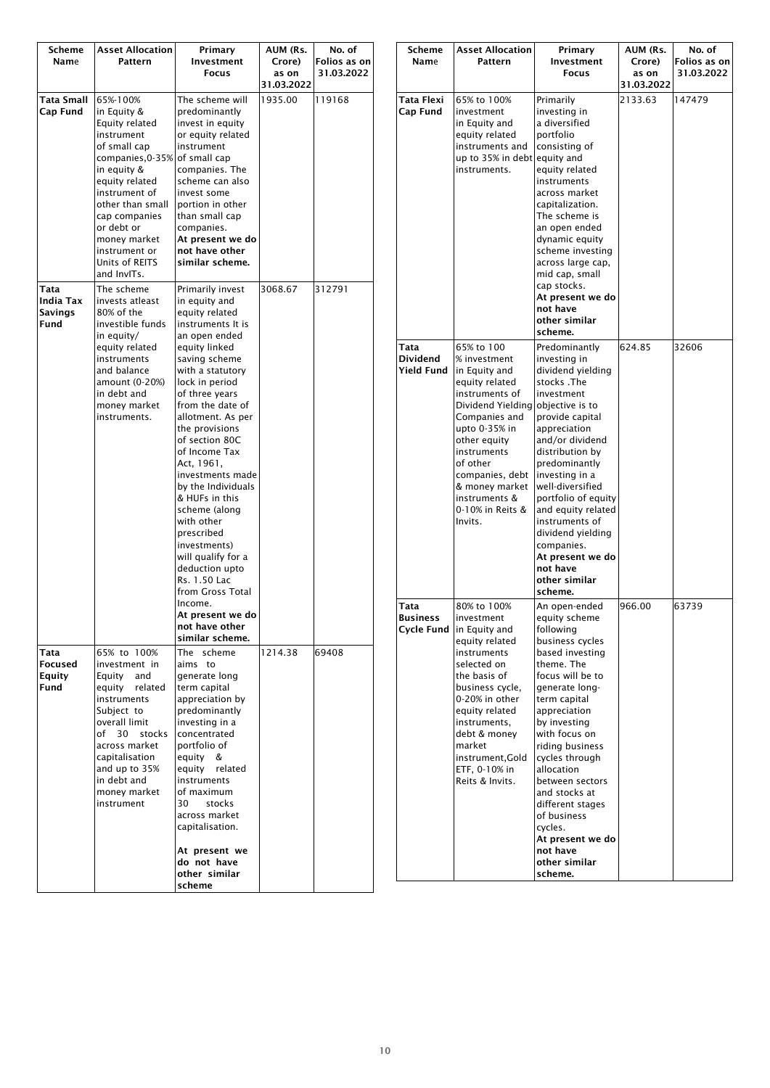| Scheme<br>Name                       | <b>Asset Allocation</b><br>Pattern                                                                                                                                                                                                                                 | Primary<br>Investment<br>Focus                                                                                                                                                                                                                                                                                                                                                                                                                                                                                                                                           | AUM (Rs.<br>Crore)<br>as on<br>31.03.2022 | No. of<br>Folios as on<br>31.03.2022 |
|--------------------------------------|--------------------------------------------------------------------------------------------------------------------------------------------------------------------------------------------------------------------------------------------------------------------|--------------------------------------------------------------------------------------------------------------------------------------------------------------------------------------------------------------------------------------------------------------------------------------------------------------------------------------------------------------------------------------------------------------------------------------------------------------------------------------------------------------------------------------------------------------------------|-------------------------------------------|--------------------------------------|
| Tata Small<br>Cap Fund               | 65%-100%<br>in Equity &<br>Equity related<br>instrument<br>of small cap<br>companies, 0-35%<br>in equity &<br>equity related<br>instrument of<br>other than small<br>cap companies<br>or debt or<br>money market<br>instrument or<br>Units of REITS<br>and InvITs. | The scheme will<br>predominantly<br>invest in equity<br>or equity related<br>instrument<br>of small cap<br>companies. The<br>scheme can also<br>invest some<br>portion in other<br>than small cap<br>companies.<br>At present we do<br>not have other<br>similar scheme.                                                                                                                                                                                                                                                                                                 | 1935.00                                   | 119168                               |
| Tata<br>India Tax<br>Savings<br>Fund | The scheme<br>invests atleast<br>80% of the<br>investible funds<br>in equity/<br>equity related<br>instruments<br>and balance<br>amount (0-20%)<br>in debt and<br>money market<br>instruments.                                                                     | Primarily invest<br>in equity and<br>equity related<br>instruments It is<br>an open ended<br>equity linked<br>saving scheme<br>with a statutory<br>lock in period<br>of three years<br>from the date of<br>allotment. As per<br>the provisions<br>of section 80C<br>of Income Tax<br>Act, 1961,<br>investments made<br>by the Individuals<br>& HUFs in this<br>scheme (along<br>with other<br>prescribed<br>investments)<br>will qualify for a<br>deduction upto<br>Rs. 1.50 Lac<br>from Gross Total<br>Income.<br>At present we do<br>not have other<br>similar scheme. | 3068.67                                   | 312791                               |
| Tata<br>Focused<br>Equity<br>Fund    | 65% to 100%<br>investment in<br>Equity<br>and<br>equity related<br>instruments<br>Subject to<br>overall limit<br>of<br>30<br>stocks<br>across market<br>capitalisation<br>and up to 35%<br>in debt and<br>money market<br>instrument                               | The scheme<br>aims to<br>generate long<br>term capital<br>appreciation by<br>predominantly<br>investing in a<br>concentrated<br>portfolio of<br>equity<br>&<br>related<br>equity<br>instruments<br>of maximum<br>stocks<br>30<br>across market<br>capitalisation.<br>At present we<br>do not have<br>other similar<br>scheme                                                                                                                                                                                                                                             | 1214.38                                   | 69408                                |

| Scheme<br>Name                        | <b>Asset Allocation</b><br>Pattern                                                                                                                                                                                                                                     | Primary<br>Investment<br><b>Focus</b>                                                                                                                                                                                                                                                                                                                                                                   | AUM (Rs.<br>Crore)<br>as on<br>31.03.2022 | No. of<br>Folios as on<br>31.03.2022 |
|---------------------------------------|------------------------------------------------------------------------------------------------------------------------------------------------------------------------------------------------------------------------------------------------------------------------|---------------------------------------------------------------------------------------------------------------------------------------------------------------------------------------------------------------------------------------------------------------------------------------------------------------------------------------------------------------------------------------------------------|-------------------------------------------|--------------------------------------|
| Tata Flexi<br>Cap Fund                | 65% to 100%<br>investment<br>in Equity and<br>equity related<br>instruments and<br>up to 35% in debt<br>instruments.                                                                                                                                                   | Primarily<br>investing in<br>a diversified<br>portfolio<br>consisting of<br>equity and<br>equity related<br>instruments<br>across market<br>capitalization.<br>The scheme is<br>an open ended<br>dynamic equity<br>scheme investing<br>across large cap,<br>mid cap, small<br>cap stocks.<br>At present we do<br>not have<br>other similar<br>scheme.                                                   | 2133.63                                   | 147479                               |
| Tata<br>Dividend<br><b>Yield Fund</b> | 65% to 100<br>% investment<br>in Equity and<br>equity related<br>instruments of<br>Dividend Yielding<br>Companies and<br>upto 0-35% in<br>other equity<br>instruments<br>of other<br>companies, debt<br>& money market<br>instruments &<br>0-10% in Reits &<br>Invits. | Predominantly<br>investing in<br>dividend yielding<br>stocks .The<br>investment<br>objective is to<br>provide capital<br>appreciation<br>and/or dividend<br>distribution by<br>predominantly<br>investing in a<br>well-diversified<br>portfolio of equity<br>and equity related<br>instruments of<br>dividend yielding<br>companies.<br>At present we do<br>not have<br>other similar<br>scheme.        | 624.85                                    | 32606                                |
| Tata<br>Business<br>Cycle Fund        | 80% to 100%<br>investment<br>in Equity and<br>equity related<br>instruments<br>selected on<br>the basis of<br>business cycle,<br>0-20% in other<br>equity related<br>instruments,<br>debt & money<br>market<br>instrument, Gold<br>ETF, 0-10% in<br>Reits & Invits.    | An open-ended<br>equity scheme<br>following<br>business cycles<br>based investing<br>theme. The<br>focus will be to<br>generate long-<br>term capital<br>appreciation<br>by investing<br>with focus on<br>riding business<br>cycles through<br>allocation<br>between sectors<br>and stocks at<br>different stages<br>of business<br>cycles.<br>At present we do<br>not have<br>other similar<br>scheme. | 966.00                                    | 63739                                |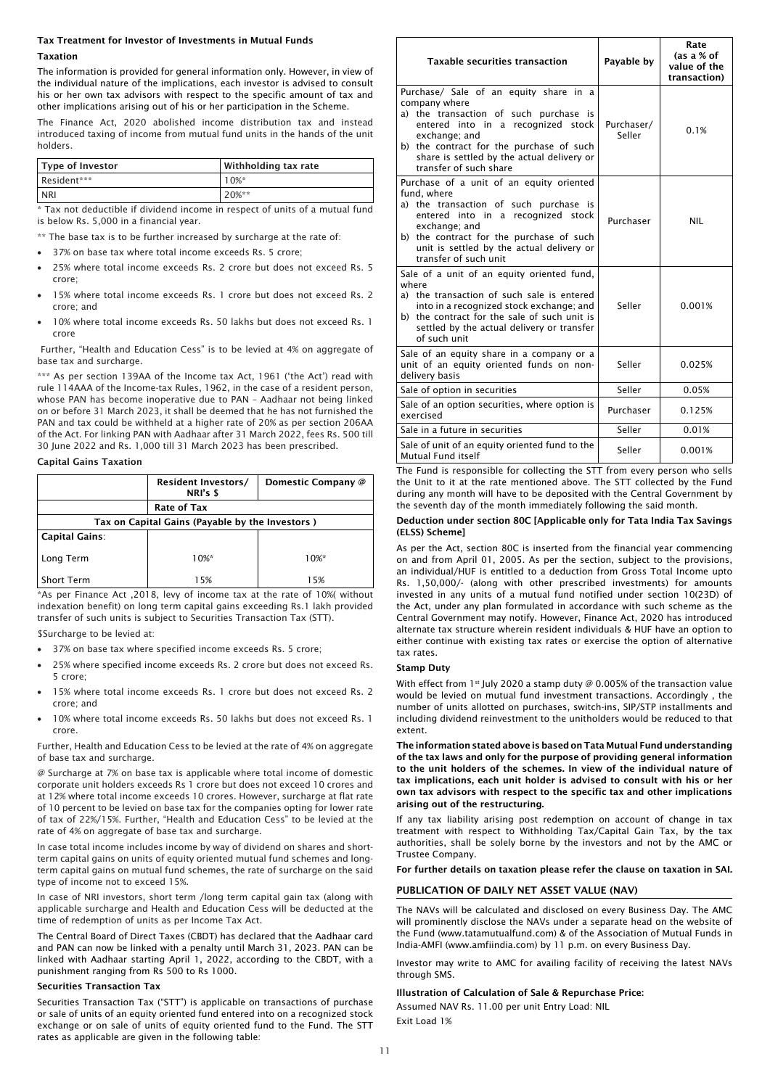# Tax Treatment for Investor of Investments in Mutual Funds

## Taxation

The information is provided for general information only. However, in view of the individual nature of the implications, each investor is advised to consult his or her own tax advisors with respect to the specific amount of tax and other implications arising out of his or her participation in the Scheme.

The Finance Act, 2020 abolished income distribution tax and instead introduced taxing of income from mutual fund units in the hands of the unit holders.

| Type of Investor | Withholding tax rate |
|------------------|----------------------|
| Resident***      | $10\%$ *             |
| <b>NRI</b>       | $20%$ **             |

\* Tax not deductible if dividend income in respect of units of a mutual fund is below Rs. 5,000 in a financial year.

\*\* The base tax is to be further increased by surcharge at the rate of:

- 37% on base tax where total income exceeds Rs. 5 crore;
- 25% where total income exceeds Rs. 2 crore but does not exceed Rs. 5 crore;
- 15% where total income exceeds Rs. 1 crore but does not exceed Rs. 2 crore; and
- 10% where total income exceeds Rs. 50 lakhs but does not exceed Rs. 1 crore

Further, "Health and Education Cess" is to be levied at 4% on aggregate of base tax and surcharge.

\*\*\* As per section 139AA of the Income tax Act, 1961 ('the Act') read with rule 114AAA of the Income-tax Rules, 1962, in the case of a resident person, whose PAN has become inoperative due to PAN – Aadhaar not being linked on or before 31 March 2023, it shall be deemed that he has not furnished the PAN and tax could be withheld at a higher rate of 20% as per section 206AA of the Act. For linking PAN with Aadhaar after 31 March 2022, fees Rs. 500 till 30 June 2022 and Rs. 1,000 till 31 March 2023 has been prescribed.

#### Capital Gains Taxation

|                                                 | <b>Resident Investors/</b><br>NRI's \$ | Domestic Company @ |  |  |  |
|-------------------------------------------------|----------------------------------------|--------------------|--|--|--|
|                                                 | <b>Rate of Tax</b>                     |                    |  |  |  |
| Tax on Capital Gains (Payable by the Investors) |                                        |                    |  |  |  |
| <b>Capital Gains:</b>                           |                                        |                    |  |  |  |
| Long Term                                       | $10\%$ *                               | $10%$ *            |  |  |  |
| <b>Short Term</b>                               | 15%                                    | 15%                |  |  |  |

\*As per Finance Act ,2018, levy of income tax at the rate of 10%( without indexation benefit) on long term capital gains exceeding Rs.1 lakh provided transfer of such units is subject to Securities Transaction Tax (STT).

\$Surcharge to be levied at:

- 37% on base tax where specified income exceeds Rs. 5 crore;
- 25% where specified income exceeds Rs. 2 crore but does not exceed Rs. 5 crore;
- 15% where total income exceeds Rs. 1 crore but does not exceed Rs. 2 crore; and
- 10% where total income exceeds Rs. 50 lakhs but does not exceed Rs. 1 crore.

Further, Health and Education Cess to be levied at the rate of 4% on aggregate of base tax and surcharge.

@ Surcharge at 7% on base tax is applicable where total income of domestic corporate unit holders exceeds Rs 1 crore but does not exceed 10 crores and at 12% where total income exceeds 10 crores. However, surcharge at flat rate of 10 percent to be levied on base tax for the companies opting for lower rate of tax of 22%/15%. Further, "Health and Education Cess" to be levied at the rate of 4% on aggregate of base tax and surcharge.

In case total income includes income by way of dividend on shares and shortterm capital gains on units of equity oriented mutual fund schemes and longterm capital gains on mutual fund schemes, the rate of surcharge on the said type of income not to exceed 15%.

In case of NRI investors, short term /long term capital gain tax (along with applicable surcharge and Health and Education Cess will be deducted at the time of redemption of units as per Income Tax Act.

The Central Board of Direct Taxes (CBDT) has declared that the Aadhaar card and PAN can now be linked with a penalty until March 31, 2023. PAN can be linked with Aadhaar starting April 1, 2022, according to the CBDT, with a punishment ranging from Rs 500 to Rs 1000.

# Securities Transaction Tax

Securities Transaction Tax ("STT") is applicable on transactions of purchase or sale of units of an equity oriented fund entered into on a recognized stock exchange or on sale of units of equity oriented fund to the Fund. The STT rates as applicable are given in the following table:

| <b>Taxable securities transaction</b>                                                                                                                                                                                                                                        | Payable by           | Rate<br>(as a % of<br>value of the<br>transaction) |
|------------------------------------------------------------------------------------------------------------------------------------------------------------------------------------------------------------------------------------------------------------------------------|----------------------|----------------------------------------------------|
| Purchase/ Sale of an equity share in a<br>company where<br>a) the transaction of such purchase is<br>entered into in a recognized stock<br>exchange; and<br>b) the contract for the purchase of such<br>share is settled by the actual delivery or<br>transfer of such share | Purchaser/<br>Seller | 0.1%                                               |
| Purchase of a unit of an equity oriented<br>fund, where<br>a) the transaction of such purchase is<br>entered into in a recognized stock<br>exchange; and<br>b) the contract for the purchase of such<br>unit is settled by the actual delivery or<br>transfer of such unit   | Purchaser            | <b>NIL</b>                                         |
| Sale of a unit of an equity oriented fund,<br>where<br>a) the transaction of such sale is entered<br>into in a recognized stock exchange; and<br>b) the contract for the sale of such unit is<br>settled by the actual delivery or transfer<br>of such unit                  | Seller               | 0.001%                                             |
| Sale of an equity share in a company or a<br>unit of an equity oriented funds on non-<br>delivery basis                                                                                                                                                                      | Seller               | 0.025%                                             |
| Sale of option in securities                                                                                                                                                                                                                                                 | Seller               | 0.05%                                              |
| Sale of an option securities, where option is<br>exercised                                                                                                                                                                                                                   | Purchaser            | 0.125%                                             |
| Sale in a future in securities                                                                                                                                                                                                                                               | Seller               | 0.01%                                              |
| Sale of unit of an equity oriented fund to the<br>Mutual Fund itself                                                                                                                                                                                                         | Seller               | 0.001%                                             |

The Fund is responsible for collecting the STT from every person who sells the Unit to it at the rate mentioned above. The STT collected by the Fund during any month will have to be deposited with the Central Government by the seventh day of the month immediately following the said month.

#### Deduction under section 80C [Applicable only for Tata India Tax Savings (ELSS) Scheme]

As per the Act, section 80C is inserted from the financial year commencing on and from April 01, 2005. As per the section, subject to the provisions, an individual/HUF is entitled to a deduction from Gross Total Income upto Rs. 1,50,000/- (along with other prescribed investments) for amounts invested in any units of a mutual fund notified under section 10(23D) of the Act, under any plan formulated in accordance with such scheme as the Central Government may notify. However, Finance Act, 2020 has introduced alternate tax structure wherein resident individuals & HUF have an option to either continue with existing tax rates or exercise the option of alternative tax rates.

## Stamp Duty

With effect from 1<sup>st</sup> July 2020 a stamp duty  $\emptyset$  0.005% of the transaction value would be levied on mutual fund investment transactions. Accordingly , the number of units allotted on purchases, switch-ins, SIP/STP installments and including dividend reinvestment to the unitholders would be reduced to that extent.

The information stated above is based on Tata Mutual Fund understanding of the tax laws and only for the purpose of providing general information to the unit holders of the schemes. In view of the individual nature of tax implications, each unit holder is advised to consult with his or her own tax advisors with respect to the specific tax and other implications arising out of the restructuring.

If any tax liability arising post redemption on account of change in tax treatment with respect to Withholding Tax/Capital Gain Tax, by the tax authorities, shall be solely borne by the investors and not by the AMC or Trustee Company.

For further details on taxation please refer the clause on taxation in SAI.

## PUBLICATION OF DAILY NET ASSET VALUE (NAV)

The NAVs will be calculated and disclosed on every Business Day. The AMC will prominently disclose the NAVs under a separate head on the website of the Fund (www.tatamutualfund.com) & of the Association of Mutual Funds in India-AMFI (www.amfiindia.com) by 11 p.m. on every Business Day.

Investor may write to AMC for availing facility of receiving the latest NAVs through SMS.

#### Illustration of Calculation of Sale & Repurchase Price:

Assumed NAV Rs. 11.00 per unit Entry Load: NIL Exit Load 1%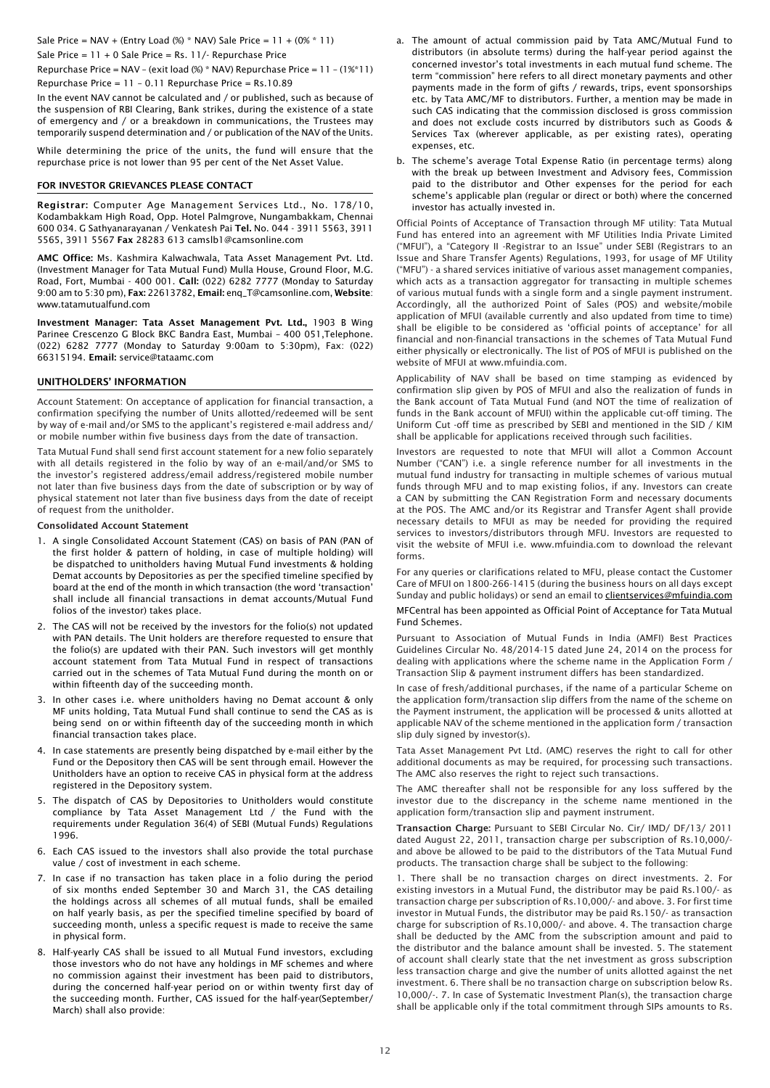Sale Price = NAV + (Entry Load  $%$  \* NAV) Sale Price = 11 + (0% \* 11) Sale Price = 11 + 0 Sale Price = Rs. 11/- Repurchase Price

Repurchase Price = NAV – (exit load (%) \* NAV) Repurchase Price = 11 – (1%\*11) Repurchase Price = 11 – 0.11 Repurchase Price = Rs.10.89

In the event NAV cannot be calculated and / or published, such as because of the suspension of RBI Clearing, Bank strikes, during the existence of a state of emergency and / or a breakdown in communications, the Trustees may temporarily suspend determination and / or publication of the NAV of the Units.

While determining the price of the units, the fund will ensure that the repurchase price is not lower than 95 per cent of the Net Asset Value.

## FOR INVESTOR GRIEVANCES PLEASE CONTACT

Registrar: Computer Age Management Services Ltd., No. 178/10, Kodambakkam High Road, Opp. Hotel Palmgrove, Nungambakkam, Chennai 600 034. G Sathyanarayanan / Venkatesh Pai Tel. No. 044 - 3911 5563, 3911 5565, 3911 5567 Fax 28283 613 camslb1@camsonline.com

AMC Office: Ms. Kashmira Kalwachwala, Tata Asset Management Pvt. Ltd. (Investment Manager for Tata Mutual Fund) Mulla House, Ground Floor, M.G. Road, Fort, Mumbai - 400 001. Call: (022) 6282 7777 (Monday to Saturday 9:00 am to 5:30 pm), Fax: 22613782, Email: enq\_T@camsonline.com, Website: www.tatamutualfund.com

Investment Manager: Tata Asset Management Pvt. Ltd., 1903 B Wing Parinee Crescenzo G Block BKC Bandra East, Mumbai – 400 051,Telephone. (022) 6282 7777 (Monday to Saturday 9:00am to 5:30pm), Fax: (022) 66315194. Email: service@tataamc.com

## UNITHOLDERS' INFORMATION

Account Statement: On acceptance of application for financial transaction, a confirmation specifying the number of Units allotted/redeemed will be sent by way of e-mail and/or SMS to the applicant's registered e-mail address and/ or mobile number within five business days from the date of transaction.

Tata Mutual Fund shall send first account statement for a new folio separately with all details registered in the folio by way of an e-mail/and/or SMS to the investor's registered address/email address/registered mobile number not later than five business days from the date of subscription or by way of physical statement not later than five business days from the date of receipt of request from the unitholder.

## Consolidated Account Statement

- 1. A single Consolidated Account Statement (CAS) on basis of PAN (PAN of the first holder & pattern of holding, in case of multiple holding) will be dispatched to unitholders having Mutual Fund investments & holding Demat accounts by Depositories as per the specified timeline specified by board at the end of the month in which transaction (the word 'transaction' shall include all financial transactions in demat accounts/Mutual Fund folios of the investor) takes place.
- 2. The CAS will not be received by the investors for the folio(s) not updated with PAN details. The Unit holders are therefore requested to ensure that the folio(s) are updated with their PAN. Such investors will get monthly account statement from Tata Mutual Fund in respect of transactions carried out in the schemes of Tata Mutual Fund during the month on or within fifteenth day of the succeeding month.
- 3. In other cases i.e. where unitholders having no Demat account & only MF units holding, Tata Mutual Fund shall continue to send the CAS as is being send on or within fifteenth day of the succeeding month in which financial transaction takes place.
- 4. In case statements are presently being dispatched by e-mail either by the Fund or the Depository then CAS will be sent through email. However the Unitholders have an option to receive CAS in physical form at the address registered in the Depository system.
- 5. The dispatch of CAS by Depositories to Unitholders would constitute compliance by Tata Asset Management Ltd / the Fund with the requirements under Regulation 36(4) of SEBI (Mutual Funds) Regulations 1996.
- 6. Each CAS issued to the investors shall also provide the total purchase value / cost of investment in each scheme.
- 7. In case if no transaction has taken place in a folio during the period of six months ended September 30 and March 31, the CAS detailing the holdings across all schemes of all mutual funds, shall be emailed on half yearly basis, as per the specified timeline specified by board of succeeding month, unless a specific request is made to receive the same in physical form.
- 8. Half-yearly CAS shall be issued to all Mutual Fund investors, excluding those investors who do not have any holdings in MF schemes and where no commission against their investment has been paid to distributors, during the concerned half-year period on or within twenty first day of the succeeding month. Further, CAS issued for the half-year(September/ March) shall also provide:
- a. The amount of actual commission paid by Tata AMC/Mutual Fund to distributors (in absolute terms) during the half-year period against the concerned investor's total investments in each mutual fund scheme. The term "commission" here refers to all direct monetary payments and other payments made in the form of gifts / rewards, trips, event sponsorships etc. by Tata AMC/MF to distributors. Further, a mention may be made in such CAS indicating that the commission disclosed is gross commission and does not exclude costs incurred by distributors such as Goods & Services Tax (wherever applicable, as per existing rates), operating expenses, etc.
- b. The scheme's average Total Expense Ratio (in percentage terms) along with the break up between Investment and Advisory fees, Commission paid to the distributor and Other expenses for the period for each scheme's applicable plan (regular or direct or both) where the concerned investor has actually invested in.

Official Points of Acceptance of Transaction through MF utility: Tata Mutual Fund has entered into an agreement with MF Utilities India Private Limited ("MFUI"), a "Category II -Registrar to an Issue" under SEBI (Registrars to an Issue and Share Transfer Agents) Regulations, 1993, for usage of MF Utility ("MFU") - a shared services initiative of various asset management companies, which acts as a transaction aggregator for transacting in multiple schemes of various mutual funds with a single form and a single payment instrument. Accordingly, all the authorized Point of Sales (POS) and website/mobile application of MFUI (available currently and also updated from time to time) shall be eligible to be considered as 'official points of acceptance' for all financial and non-financial transactions in the schemes of Tata Mutual Fund either physically or electronically. The list of POS of MFUI is published on the website of MFUI at www.mfuindia.com.

Applicability of NAV shall be based on time stamping as evidenced by confirmation slip given by POS of MFUI and also the realization of funds in the Bank account of Tata Mutual Fund (and NOT the time of realization of funds in the Bank account of MFUI) within the applicable cut-off timing. The Uniform Cut -off time as prescribed by SEBI and mentioned in the SID / KIM shall be applicable for applications received through such facilities.

Investors are requested to note that MFUI will allot a Common Account Number ("CAN") i.e. a single reference number for all investments in the mutual fund industry for transacting in multiple schemes of various mutual funds through MFU and to map existing folios, if any. Investors can create a CAN by submitting the CAN Registration Form and necessary documents at the POS. The AMC and/or its Registrar and Transfer Agent shall provide necessary details to MFUI as may be needed for providing the required services to investors/distributors through MFU. Investors are requested to visit the website of MFUI i.e. www.mfuindia.com to download the relevant forms.

For any queries or clarifications related to MFU, please contact the Customer Care of MFUI on 1800-266-1415 (during the business hours on all days except Sunday and public holidays) or send an email to clientservices@mfuindia.com

MFCentral has been appointed as Official Point of Acceptance for Tata Mutual Fund Schemes.

Pursuant to Association of Mutual Funds in India (AMFI) Best Practices Guidelines Circular No. 48/2014-15 dated June 24, 2014 on the process for dealing with applications where the scheme name in the Application Form / Transaction Slip & payment instrument differs has been standardized.

In case of fresh/additional purchases, if the name of a particular Scheme on the application form/transaction slip differs from the name of the scheme on the Payment instrument, the application will be processed & units allotted at applicable NAV of the scheme mentioned in the application form / transaction slip duly signed by investor(s).

Tata Asset Management Pvt Ltd. (AMC) reserves the right to call for other additional documents as may be required, for processing such transactions. The AMC also reserves the right to reject such transactions.

The AMC thereafter shall not be responsible for any loss suffered by the investor due to the discrepancy in the scheme name mentioned in the application form/transaction slip and payment instrument*.*

Transaction Charge: Pursuant to SEBI Circular No. Cir/ IMD/ DF/13/ 2011 dated August 22, 2011, transaction charge per subscription of Rs.10,000/ and above be allowed to be paid to the distributors of the Tata Mutual Fund products. The transaction charge shall be subject to the following:

1. There shall be no transaction charges on direct investments. 2. For existing investors in a Mutual Fund, the distributor may be paid Rs.100/- as transaction charge per subscription of Rs.10,000/- and above. 3. For first time investor in Mutual Funds, the distributor may be paid Rs.150/- as transaction charge for subscription of Rs.10,000/- and above. 4. The transaction charge shall be deducted by the AMC from the subscription amount and paid to the distributor and the balance amount shall be invested. 5. The statement of account shall clearly state that the net investment as gross subscription less transaction charge and give the number of units allotted against the net investment. 6. There shall be no transaction charge on subscription below Rs. 10,000/-. 7. In case of Systematic Investment Plan(s), the transaction charge shall be applicable only if the total commitment through SIPs amounts to Rs.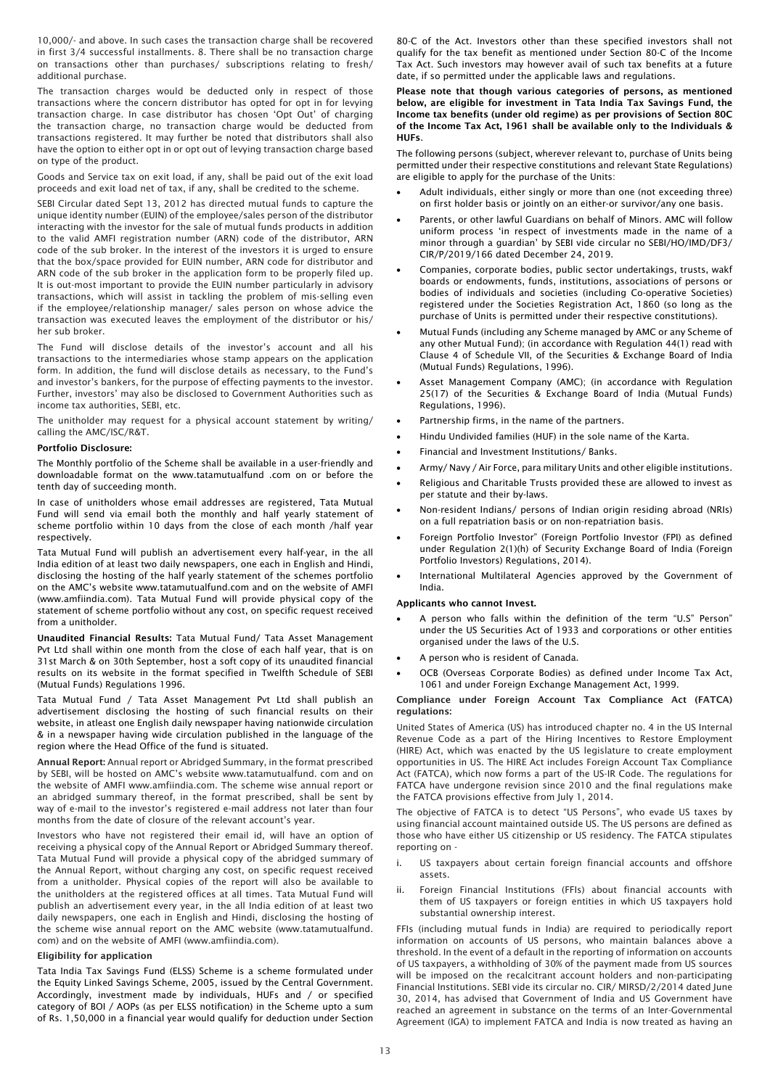10,000/- and above. In such cases the transaction charge shall be recovered in first 3/4 successful installments. 8. There shall be no transaction charge on transactions other than purchases/ subscriptions relating to fresh/ additional purchase.

The transaction charges would be deducted only in respect of those transactions where the concern distributor has opted for opt in for levying transaction charge. In case distributor has chosen 'Opt Out' of charging the transaction charge, no transaction charge would be deducted from transactions registered. It may further be noted that distributors shall also have the option to either opt in or opt out of levying transaction charge based on type of the product.

Goods and Service tax on exit load, if any, shall be paid out of the exit load proceeds and exit load net of tax, if any, shall be credited to the scheme.

SEBI Circular dated Sept 13, 2012 has directed mutual funds to capture the unique identity number (EUIN) of the employee/sales person of the distributor interacting with the investor for the sale of mutual funds products in addition to the valid AMFI registration number (ARN) code of the distributor, ARN code of the sub broker. In the interest of the investors it is urged to ensure that the box/space provided for EUIN number, ARN code for distributor and ARN code of the sub broker in the application form to be properly filed up. It is out-most important to provide the EUIN number particularly in advisory transactions, which will assist in tackling the problem of mis-selling even if the employee/relationship manager/ sales person on whose advice the transaction was executed leaves the employment of the distributor or his/ her sub broker.

The Fund will disclose details of the investor's account and all his transactions to the intermediaries whose stamp appears on the application form. In addition, the fund will disclose details as necessary, to the Fund's and investor's bankers, for the purpose of effecting payments to the investor. Further, investors' may also be disclosed to Government Authorities such as income tax authorities, SEBI, etc.

The unitholder may request for a physical account statement by writing/ calling the AMC/ISC/R&T.

## Portfolio Disclosure:

The Monthly portfolio of the Scheme shall be available in a user-friendly and downloadable format on the www.tatamutualfund .com on or before the tenth day of succeeding month.

In case of unitholders whose email addresses are registered, Tata Mutual Fund will send via email both the monthly and half yearly statement of scheme portfolio within 10 days from the close of each month /half year respectively.

Tata Mutual Fund will publish an advertisement every half-year, in the all India edition of at least two daily newspapers, one each in English and Hindi, disclosing the hosting of the half yearly statement of the schemes portfolio on the AMC's website www.tatamutualfund.com and on the website of AMFI (www.amfiindia.com). Tata Mutual Fund will provide physical copy of the statement of scheme portfolio without any cost, on specific request received from a unitholder.

Unaudited Financial Results: Tata Mutual Fund/ Tata Asset Management Pvt Ltd shall within one month from the close of each half year, that is on 31st March & on 30th September, host a soft copy of its unaudited financial results on its website in the format specified in Twelfth Schedule of SEBI (Mutual Funds) Regulations 1996.

Tata Mutual Fund / Tata Asset Management Pvt Ltd shall publish an advertisement disclosing the hosting of such financial results on their website, in atleast one English daily newspaper having nationwide circulation & in a newspaper having wide circulation published in the language of the region where the Head Office of the fund is situated.

Annual Report: Annual report or Abridged Summary, in the format prescribed by SEBI, will be hosted on AMC's website www.tatamutualfund. com and on the website of AMFI www.amfiindia.com. The scheme wise annual report or an abridged summary thereof, in the format prescribed, shall be sent by way of e-mail to the investor's registered e-mail address not later than four months from the date of closure of the relevant account's year.

Investors who have not registered their email id, will have an option of receiving a physical copy of the Annual Report or Abridged Summary thereof. Tata Mutual Fund will provide a physical copy of the abridged summary of the Annual Report, without charging any cost, on specific request received from a unitholder. Physical copies of the report will also be available to the unitholders at the registered offices at all times. Tata Mutual Fund will publish an advertisement every year, in the all India edition of at least two daily newspapers, one each in English and Hindi, disclosing the hosting of the scheme wise annual report on the AMC website (www.tatamutualfund. com) and on the website of AMFI (www.amfiindia.com).

## Eligibility for application

Tata India Tax Savings Fund (ELSS) Scheme is a scheme formulated under the Equity Linked Savings Scheme, 2005, issued by the Central Government. Accordingly, investment made by individuals, HUFs and / or specified category of BOI / AOPs (as per ELSS notification) in the Scheme upto a sum of Rs. 1,50,000 in a financial year would qualify for deduction under Section

80-C of the Act. Investors other than these specified investors shall not qualify for the tax benefit as mentioned under Section 80-C of the Income Tax Act. Such investors may however avail of such tax benefits at a future date, if so permitted under the applicable laws and regulations.

## Please note that though various categories of persons, as mentioned below, are eligible for investment in Tata India Tax Savings Fund, the Income tax benefits (under old regime) as per provisions of Section 80C of the Income Tax Act, 1961 shall be available only to the Individuals & HUFs.

The following persons (subject, wherever relevant to, purchase of Units being permitted under their respective constitutions and relevant State Regulations) are eligible to apply for the purchase of the Units:

- Adult individuals, either singly or more than one (not exceeding three) on first holder basis or jointly on an either-or survivor/any one basis.
- Parents, or other lawful Guardians on behalf of Minors. AMC will follow uniform process 'in respect of investments made in the name of a minor through a guardian' by SEBI vide circular no SEBI/HO/IMD/DF3/ CIR/P/2019/166 dated December 24, 2019.
- Companies, corporate bodies, public sector undertakings, trusts, wakf boards or endowments, funds, institutions, associations of persons or bodies of individuals and societies (including Co-operative Societies) registered under the Societies Registration Act, 1860 (so long as the purchase of Units is permitted under their respective constitutions).
- Mutual Funds (including any Scheme managed by AMC or any Scheme of any other Mutual Fund); (in accordance with Regulation 44(1) read with Clause 4 of Schedule VII, of the Securities & Exchange Board of India (Mutual Funds) Regulations, 1996).
- Asset Management Company (AMC); (in accordance with Regulation 25(17) of the Securities & Exchange Board of India (Mutual Funds) Regulations, 1996).
- Partnership firms, in the name of the partners.
- Hindu Undivided families (HUF) in the sole name of the Karta.
- Financial and Investment Institutions/ Banks.
- Army/ Navy / Air Force, para military Units and other eligible institutions.
- Religious and Charitable Trusts provided these are allowed to invest as per statute and their by-laws.
- Non-resident Indians/ persons of Indian origin residing abroad (NRIs) on a full repatriation basis or on non-repatriation basis.
- Foreign Portfolio Investor" (Foreign Portfolio Investor (FPI) as defined under Regulation 2(1)(h) of Security Exchange Board of India (Foreign Portfolio Investors) Regulations, 2014).
- International Multilateral Agencies approved by the Government of India.

## Applicants who cannot Invest.

- A person who falls within the definition of the term "U.S" Person" under the US Securities Act of 1933 and corporations or other entities organised under the laws of the U.S.
- A person who is resident of Canada.
- OCB (Overseas Corporate Bodies) as defined under Income Tax Act, 1061 and under Foreign Exchange Management Act, 1999.

## Compliance under Foreign Account Tax Compliance Act (FATCA) regulations:

United States of America (US) has introduced chapter no. 4 in the US Internal Revenue Code as a part of the Hiring Incentives to Restore Employment (HIRE) Act, which was enacted by the US legislature to create employment opportunities in US. The HIRE Act includes Foreign Account Tax Compliance Act (FATCA), which now forms a part of the US-IR Code. The regulations for FATCA have undergone revision since 2010 and the final regulations make the FATCA provisions effective from July 1, 2014.

The objective of FATCA is to detect "US Persons", who evade US taxes by using financial account maintained outside US. The US persons are defined as those who have either US citizenship or US residency. The FATCA stipulates reporting on -

- i. US taxpayers about certain foreign financial accounts and offshore assets.
- ii. Foreign Financial Institutions (FFIs) about financial accounts with them of US taxpayers or foreign entities in which US taxpayers hold substantial ownership interest.

FFIs (including mutual funds in India) are required to periodically report information on accounts of US persons, who maintain balances above a threshold. In the event of a default in the reporting of information on accounts of US taxpayers, a withholding of 30% of the payment made from US sources will be imposed on the recalcitrant account holders and non-participating Financial Institutions. SEBI vide its circular no. CIR/ MIRSD/2/2014 dated June 30, 2014, has advised that Government of India and US Government have reached an agreement in substance on the terms of an Inter-Governmental Agreement (IGA) to implement FATCA and India is now treated as having an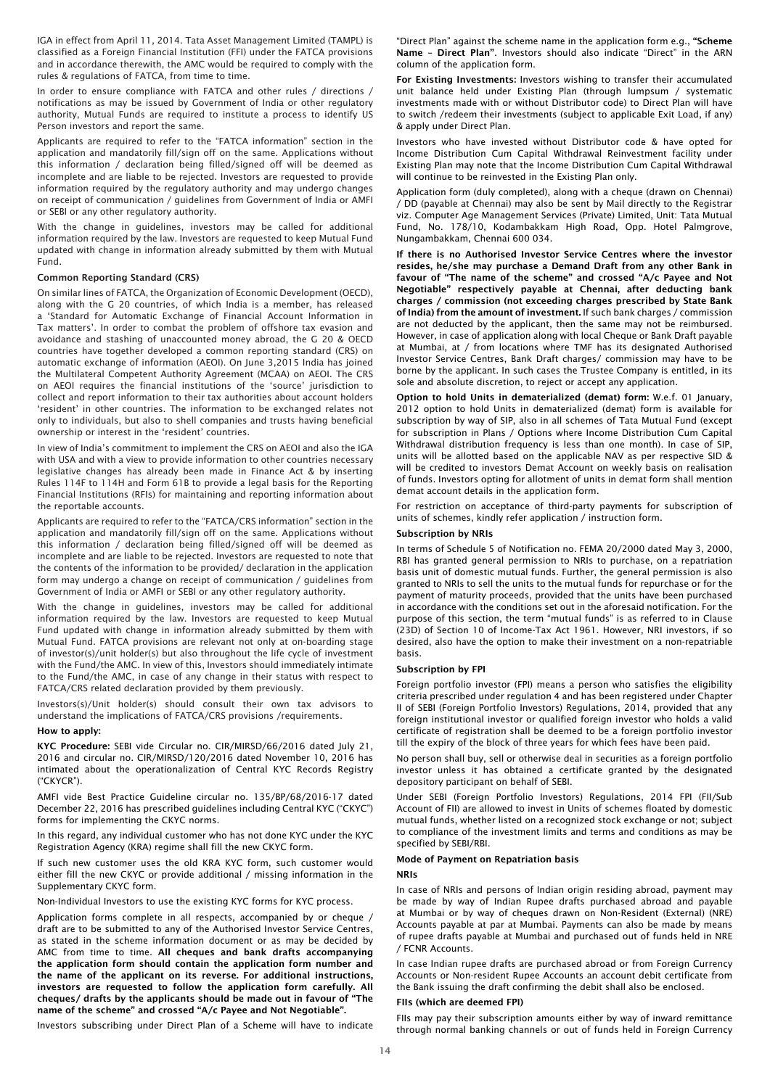IGA in effect from April 11, 2014. Tata Asset Management Limited (TAMPL) is classified as a Foreign Financial Institution (FFI) under the FATCA provisions and in accordance therewith, the AMC would be required to comply with the rules & regulations of FATCA, from time to time.

In order to ensure compliance with FATCA and other rules / directions / notifications as may be issued by Government of India or other regulatory authority, Mutual Funds are required to institute a process to identify US Person investors and report the same.

Applicants are required to refer to the "FATCA information" section in the application and mandatorily fill/sign off on the same. Applications without this information / declaration being filled/signed off will be deemed as incomplete and are liable to be rejected. Investors are requested to provide information required by the regulatory authority and may undergo changes on receipt of communication / guidelines from Government of India or AMFI or SEBI or any other regulatory authority.

With the change in guidelines, investors may be called for additional information required by the law. Investors are requested to keep Mutual Fund updated with change in information already submitted by them with Mutual Fund.

#### Common Reporting Standard (CRS)

On similar lines of FATCA, the Organization of Economic Development (OECD), along with the G 20 countries, of which India is a member, has released a 'Standard for Automatic Exchange of Financial Account Information in Tax matters'. In order to combat the problem of offshore tax evasion and avoidance and stashing of unaccounted money abroad, the G 20 & OECD countries have together developed a common reporting standard (CRS) on automatic exchange of information (AEOI). On June 3,2015 India has joined the Multilateral Competent Authority Agreement (MCAA) on AEOI. The CRS on AEOI requires the financial institutions of the 'source' jurisdiction to collect and report information to their tax authorities about account holders 'resident' in other countries. The information to be exchanged relates not only to individuals, but also to shell companies and trusts having beneficial ownership or interest in the 'resident' countries.

In view of India's commitment to implement the CRS on AEOI and also the IGA with USA and with a view to provide information to other countries necessary legislative changes has already been made in Finance Act & by inserting Rules 114F to 114H and Form 61B to provide a legal basis for the Reporting Financial Institutions (RFIs) for maintaining and reporting information about the reportable accounts.

Applicants are required to refer to the "FATCA/CRS information" section in the application and mandatorily fill/sign off on the same. Applications without this information / declaration being filled/signed off will be deemed as incomplete and are liable to be rejected. Investors are requested to note that the contents of the information to be provided/ declaration in the application form may undergo a change on receipt of communication / guidelines from Government of India or AMFI or SEBI or any other regulatory authority.

With the change in guidelines, investors may be called for additional information required by the law. Investors are requested to keep Mutual Fund updated with change in information already submitted by them with Mutual Fund. FATCA provisions are relevant not only at on-boarding stage of investor(s)/unit holder(s) but also throughout the life cycle of investment with the Fund/the AMC. In view of this, Investors should immediately intimate to the Fund/the AMC, in case of any change in their status with respect to FATCA/CRS related declaration provided by them previously.

Investors(s)/Unit holder(s) should consult their own tax advisors to understand the implications of FATCA/CRS provisions /requirements.

#### How to apply:

KYC Procedure: SEBI vide Circular no. CIR/MIRSD/66/2016 dated July 21, 2016 and circular no. CIR/MIRSD/120/2016 dated November 10, 2016 has intimated about the operationalization of Central KYC Records Registry ("CKYCR").

AMFI vide Best Practice Guideline circular no. 135/BP/68/2016-17 dated December 22, 2016 has prescribed guidelines including Central KYC ("CKYC") forms for implementing the CKYC norms.

In this regard, any individual customer who has not done KYC under the KYC Registration Agency (KRA) regime shall fill the new CKYC form.

If such new customer uses the old KRA KYC form, such customer would either fill the new CKYC or provide additional / missing information in the Supplementary CKYC form.

Non-Individual Investors to use the existing KYC forms for KYC process.

Application forms complete in all respects, accompanied by or cheque / draft are to be submitted to any of the Authorised Investor Service Centres, as stated in the scheme information document or as may be decided by AMC from time to time. All cheques and bank drafts accompanying the application form should contain the application form number and the name of the applicant on its reverse. For additional instructions, investors are requested to follow the application form carefully. All cheques/ drafts by the applicants should be made out in favour of "The name of the scheme" and crossed "A/c Payee and Not Negotiable".

Investors subscribing under Direct Plan of a Scheme will have to indicate

"Direct Plan" against the scheme name in the application form e.g., "Scheme Name – Direct Plan". Investors should also indicate "Direct" in the ARN column of the application form.

For Existing Investments: Investors wishing to transfer their accumulated unit balance held under Existing Plan (through lumpsum / systematic investments made with or without Distributor code) to Direct Plan will have to switch /redeem their investments (subject to applicable Exit Load, if any) & apply under Direct Plan.

Investors who have invested without Distributor code & have opted for Income Distribution Cum Capital Withdrawal Reinvestment facility under Existing Plan may note that the Income Distribution Cum Capital Withdrawal will continue to be reinvested in the Existing Plan only.

Application form (duly completed), along with a cheque (drawn on Chennai) / DD (payable at Chennai) may also be sent by Mail directly to the Registrar viz. Computer Age Management Services (Private) Limited, Unit: Tata Mutual Fund, No. 178/10, Kodambakkam High Road, Opp. Hotel Palmgrove, Nungambakkam, Chennai 600 034.

If there is no Authorised Investor Service Centres where the investor resides, he/she may purchase a Demand Draft from any other Bank in favour of "The name of the scheme" and crossed "A/c Payee and Not Negotiable" respectively payable at Chennai, after deducting bank charges / commission (not exceeding charges prescribed by State Bank of India) from the amount of investment. If such bank charges / commission are not deducted by the applicant, then the same may not be reimbursed. However, in case of application along with local Cheque or Bank Draft payable at Mumbai, at / from locations where TMF has its designated Authorised Investor Service Centres, Bank Draft charges/ commission may have to be borne by the applicant. In such cases the Trustee Company is entitled, in its sole and absolute discretion, to reject or accept any application.

Option to hold Units in dematerialized (demat) form: W.e.f. 01 January, 2012 option to hold Units in dematerialized (demat) form is available for subscription by way of SIP, also in all schemes of Tata Mutual Fund (except for subscription in Plans / Options where Income Distribution Cum Capital Withdrawal distribution frequency is less than one month). In case of SIP, units will be allotted based on the applicable NAV as per respective SID & will be credited to investors Demat Account on weekly basis on realisation of funds. Investors opting for allotment of units in demat form shall mention demat account details in the application form.

For restriction on acceptance of third-party payments for subscription of units of schemes, kindly refer application / instruction form.

## Subscription by NRIs

In terms of Schedule 5 of Notification no. FEMA 20/2000 dated May 3, 2000, RBI has granted general permission to NRIs to purchase, on a repatriation basis unit of domestic mutual funds. Further, the general permission is also granted to NRIs to sell the units to the mutual funds for repurchase or for the payment of maturity proceeds, provided that the units have been purchased in accordance with the conditions set out in the aforesaid notification. For the purpose of this section, the term "mutual funds" is as referred to in Clause (23D) of Section 10 of Income-Tax Act 1961. However, NRI investors, if so desired, also have the option to make their investment on a non-repatriable basis.

#### Subscription by FPI

Foreign portfolio investor (FPI) means a person who satisfies the eligibility criteria prescribed under regulation 4 and has been registered under Chapter II of SEBI (Foreign Portfolio Investors) Regulations, 2014, provided that any foreign institutional investor or qualified foreign investor who holds a valid certificate of registration shall be deemed to be a foreign portfolio investor till the expiry of the block of three years for which fees have been paid.

No person shall buy, sell or otherwise deal in securities as a foreign portfolio investor unless it has obtained a certificate granted by the designated depository participant on behalf of SEBI.

Under SEBI (Foreign Portfolio Investors) Regulations, 2014 FPI (FII/Sub Account of FII) are allowed to invest in Units of schemes floated by domestic mutual funds, whether listed on a recognized stock exchange or not; subject to compliance of the investment limits and terms and conditions as may be specified by SEBI/RBI.

## Mode of Payment on Repatriation basis

#### NRIs

In case of NRIs and persons of Indian origin residing abroad, payment may be made by way of Indian Rupee drafts purchased abroad and payable at Mumbai or by way of cheques drawn on Non-Resident (External) (NRE) Accounts payable at par at Mumbai. Payments can also be made by means of rupee drafts payable at Mumbai and purchased out of funds held in NRE / FCNR Accounts.

In case Indian rupee drafts are purchased abroad or from Foreign Currency Accounts or Non-resident Rupee Accounts an account debit certificate from the Bank issuing the draft confirming the debit shall also be enclosed.

#### FIIs (which are deemed FPI)

FIIs may pay their subscription amounts either by way of inward remittance through normal banking channels or out of funds held in Foreign Currency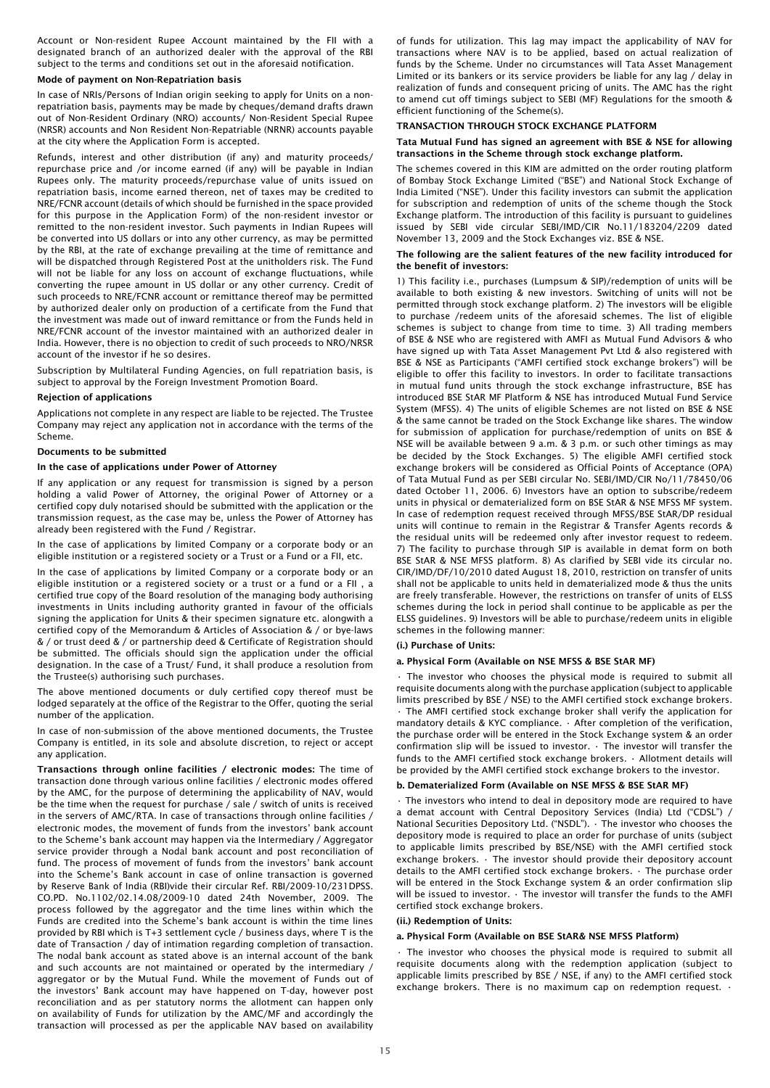Account or Non-resident Rupee Account maintained by the FII with a designated branch of an authorized dealer with the approval of the RBI subject to the terms and conditions set out in the aforesaid notification.

## Mode of payment on Non-Repatriation basis

In case of NRIs/Persons of Indian origin seeking to apply for Units on a nonrepatriation basis, payments may be made by cheques/demand drafts drawn out of Non-Resident Ordinary (NRO) accounts/ Non-Resident Special Rupee (NRSR) accounts and Non Resident Non-Repatriable (NRNR) accounts payable at the city where the Application Form is accepted.

Refunds, interest and other distribution (if any) and maturity proceeds/ repurchase price and /or income earned (if any) will be payable in Indian Rupees only. The maturity proceeds/repurchase value of units issued on repatriation basis, income earned thereon, net of taxes may be credited to NRE/FCNR account (details of which should be furnished in the space provided for this purpose in the Application Form) of the non-resident investor or remitted to the non-resident investor. Such payments in Indian Rupees will be converted into US dollars or into any other currency, as may be permitted by the RBI, at the rate of exchange prevailing at the time of remittance and will be dispatched through Registered Post at the unitholders risk. The Fund will not be liable for any loss on account of exchange fluctuations, while converting the rupee amount in US dollar or any other currency. Credit of such proceeds to NRE/FCNR account or remittance thereof may be permitted by authorized dealer only on production of a certificate from the Fund that the investment was made out of inward remittance or from the Funds held in NRE/FCNR account of the investor maintained with an authorized dealer in India. However, there is no objection to credit of such proceeds to NRO/NRSR account of the investor if he so desires.

Subscription by Multilateral Funding Agencies, on full repatriation basis, is subject to approval by the Foreign Investment Promotion Board.

## Rejection of applications

Applications not complete in any respect are liable to be rejected. The Trustee Company may reject any application not in accordance with the terms of the Scheme.

## Documents to be submitted

## In the case of applications under Power of Attorney

If any application or any request for transmission is signed by a person holding a valid Power of Attorney, the original Power of Attorney or a certified copy duly notarised should be submitted with the application or the transmission request, as the case may be, unless the Power of Attorney has already been registered with the Fund / Registrar.

In the case of applications by limited Company or a corporate body or an eligible institution or a registered society or a Trust or a Fund or a FII, etc.

In the case of applications by limited Company or a corporate body or an eligible institution or a registered society or a trust or a fund or a FII , a certified true copy of the Board resolution of the managing body authorising investments in Units including authority granted in favour of the officials signing the application for Units & their specimen signature etc. alongwith a certified copy of the Memorandum & Articles of Association & / or bye-laws & / or trust deed & / or partnership deed & Certificate of Registration should be submitted. The officials should sign the application under the official designation. In the case of a Trust/ Fund, it shall produce a resolution from the Trustee(s) authorising such purchases.

The above mentioned documents or duly certified copy thereof must be lodged separately at the office of the Registrar to the Offer, quoting the serial number of the application.

In case of non-submission of the above mentioned documents, the Trustee Company is entitled, in its sole and absolute discretion, to reject or accept any application.

Transactions through online facilities / electronic modes: The time of transaction done through various online facilities / electronic modes offered by the AMC, for the purpose of determining the applicability of NAV, would be the time when the request for purchase / sale / switch of units is received in the servers of AMC/RTA. In case of transactions through online facilities / electronic modes, the movement of funds from the investors' bank account to the Scheme's bank account may happen via the Intermediary / Aggregator service provider through a Nodal bank account and post reconciliation of fund. The process of movement of funds from the investors' bank account into the Scheme's Bank account in case of online transaction is governed by Reserve Bank of India (RBI)vide their circular Ref. RBI/2009-10/231DPSS. CO.PD. No.1102/02.14.08/2009-10 dated 24th November, 2009. The process followed by the aggregator and the time lines within which the Funds are credited into the Scheme's bank account is within the time lines provided by RBI which is T+3 settlement cycle / business days, where T is the date of Transaction / day of intimation regarding completion of transaction. The nodal bank account as stated above is an internal account of the bank and such accounts are not maintained or operated by the intermediary / aggregator or by the Mutual Fund. While the movement of Funds out of the investors' Bank account may have happened on T-day, however post reconciliation and as per statutory norms the allotment can happen only on availability of Funds for utilization by the AMC/MF and accordingly the transaction will processed as per the applicable NAV based on availability of funds for utilization. This lag may impact the applicability of NAV for transactions where NAV is to be applied, based on actual realization of funds by the Scheme. Under no circumstances will Tata Asset Management Limited or its bankers or its service providers be liable for any lag / delay in realization of funds and consequent pricing of units. The AMC has the right to amend cut off timings subject to SEBI (MF) Regulations for the smooth & efficient functioning of the Scheme(s).

## TRANSACTION THROUGH STOCK EXCHANGE PLATFORM

## Tata Mutual Fund has signed an agreement with BSE & NSE for allowing transactions in the Scheme through stock exchange platform.

The schemes covered in this KIM are admitted on the order routing platform of Bombay Stock Exchange Limited ("BSE") and National Stock Exchange of India Limited ("NSE"). Under this facility investors can submit the application for subscription and redemption of units of the scheme though the Stock Exchange platform. The introduction of this facility is pursuant to guidelines issued by SEBI vide circular SEBI/IMD/CIR No.11/183204/2209 dated November 13, 2009 and the Stock Exchanges viz. BSE & NSE.

## The following are the salient features of the new facility introduced for the benefit of investors:

1) This facility i.e., purchases (Lumpsum & SIP)/redemption of units will be available to both existing & new investors. Switching of units will not be permitted through stock exchange platform. 2) The investors will be eligible to purchase /redeem units of the aforesaid schemes. The list of eligible schemes is subject to change from time to time. 3) All trading members of BSE & NSE who are registered with AMFI as Mutual Fund Advisors & who have signed up with Tata Asset Management Pvt Ltd & also registered with BSE & NSE as Participants ("AMFI certified stock exchange brokers") will be eligible to offer this facility to investors. In order to facilitate transactions in mutual fund units through the stock exchange infrastructure, BSE has introduced BSE StAR MF Platform & NSE has introduced Mutual Fund Service System (MFSS). 4) The units of eligible Schemes are not listed on BSE & NSE & the same cannot be traded on the Stock Exchange like shares. The window for submission of application for purchase/redemption of units on BSE & NSE will be available between 9 a.m. & 3 p.m. or such other timings as may be decided by the Stock Exchanges. 5) The eligible AMFI certified stock exchange brokers will be considered as Official Points of Acceptance (OPA) of Tata Mutual Fund as per SEBI circular No. SEBI/IMD/CIR No/11/78450/06 dated October 11, 2006. 6) Investors have an option to subscribe/redeem units in physical or dematerialized form on BSE StAR & NSE MFSS MF system. In case of redemption request received through MFSS/BSE StAR/DP residual units will continue to remain in the Registrar & Transfer Agents records & the residual units will be redeemed only after investor request to redeem. 7) The facility to purchase through SIP is available in demat form on both BSE StAR & NSE MFSS platform. 8) As clarified by SEBI vide its circular no. CIR/IMD/DF/10/2010 dated August 18, 2010, restriction on transfer of units shall not be applicable to units held in dematerialized mode & thus the units are freely transferable. However, the restrictions on transfer of units of ELSS schemes during the lock in period shall continue to be applicable as per the ELSS guidelines. 9) Investors will be able to purchase/redeem units in eligible schemes in the following manner:

## (i.) Purchase of Units:

## a. Physical Form (Available on NSE MFSS & BSE StAR MF)

• The investor who chooses the physical mode is required to submit all requisite documents along with the purchase application (subject to applicable limits prescribed by BSE / NSE) to the AMFI certified stock exchange brokers. • The AMFI certified stock exchange broker shall verify the application for mandatory details & KYC compliance. • After completion of the verification, the purchase order will be entered in the Stock Exchange system & an order confirmation slip will be issued to investor. • The investor will transfer the funds to the AMFI certified stock exchange brokers. • Allotment details will be provided by the AMFI certified stock exchange brokers to the investor.

# b. Dematerialized Form (Available on NSE MFSS & BSE StAR MF)

• The investors who intend to deal in depository mode are required to have a demat account with Central Depository Services (India) Ltd ("CDSL") / National Securities Depository Ltd. ("NSDL"). • The investor who chooses the depository mode is required to place an order for purchase of units (subject to applicable limits prescribed by BSE/NSE) with the AMFI certified stock exchange brokers. • The investor should provide their depository account details to the AMFI certified stock exchange brokers. • The purchase order will be entered in the Stock Exchange system & an order confirmation slip will be issued to investor. • The investor will transfer the funds to the AMFI certified stock exchange brokers.

#### (ii.) Redemption of Units:

#### a. Physical Form (Available on BSE StAR& NSE MFSS Platform)

• The investor who chooses the physical mode is required to submit all requisite documents along with the redemption application (subject to applicable limits prescribed by BSE / NSE, if any) to the AMFI certified stock exchange brokers. There is no maximum cap on redemption request.